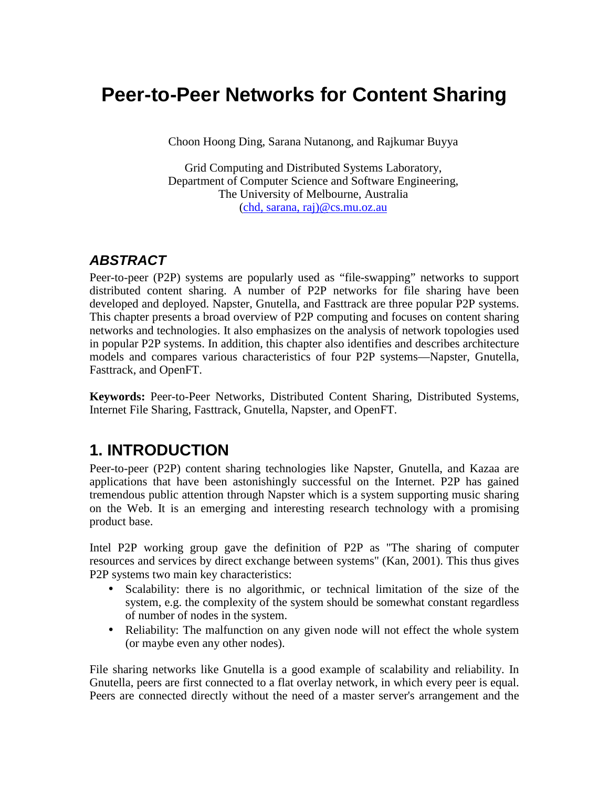# **Peer-to-Peer Networks for Content Sharing**

Choon Hoong Ding, Sarana Nutanong, and Rajkumar Buyya

Grid Computing and Distributed Systems Laboratory, Department of Computer Science and Software Engineering, The University of Melbourne, Australia (chd, sarana, raj)@cs.mu.oz.au

### **ABSTRACT**

Peer-to-peer (P2P) systems are popularly used as "file-swapping" networks to support distributed content sharing. A number of P2P networks for file sharing have been developed and deployed. Napster, Gnutella, and Fasttrack are three popular P2P systems. This chapter presents a broad overview of P2P computing and focuses on content sharing networks and technologies. It also emphasizes on the analysis of network topologies used in popular P2P systems. In addition, this chapter also identifies and describes architecture models and compares various characteristics of four P2P systems—Napster, Gnutella, Fasttrack, and OpenFT.

**Keywords:** Peer-to-Peer Networks, Distributed Content Sharing, Distributed Systems, Internet File Sharing, Fasttrack, Gnutella, Napster, and OpenFT.

## **1. INTRODUCTION**

Peer-to-peer (P2P) content sharing technologies like Napster, Gnutella, and Kazaa are applications that have been astonishingly successful on the Internet. P2P has gained tremendous public attention through Napster which is a system supporting music sharing on the Web. It is an emerging and interesting research technology with a promising product base.

Intel P2P working group gave the definition of P2P as "The sharing of computer resources and services by direct exchange between systems" (Kan, 2001). This thus gives P2P systems two main key characteristics:

- Scalability: there is no algorithmic, or technical limitation of the size of the system, e.g. the complexity of the system should be somewhat constant regardless of number of nodes in the system.
- Reliability: The malfunction on any given node will not effect the whole system (or maybe even any other nodes).

File sharing networks like Gnutella is a good example of scalability and reliability. In Gnutella, peers are first connected to a flat overlay network, in which every peer is equal. Peers are connected directly without the need of a master server's arrangement and the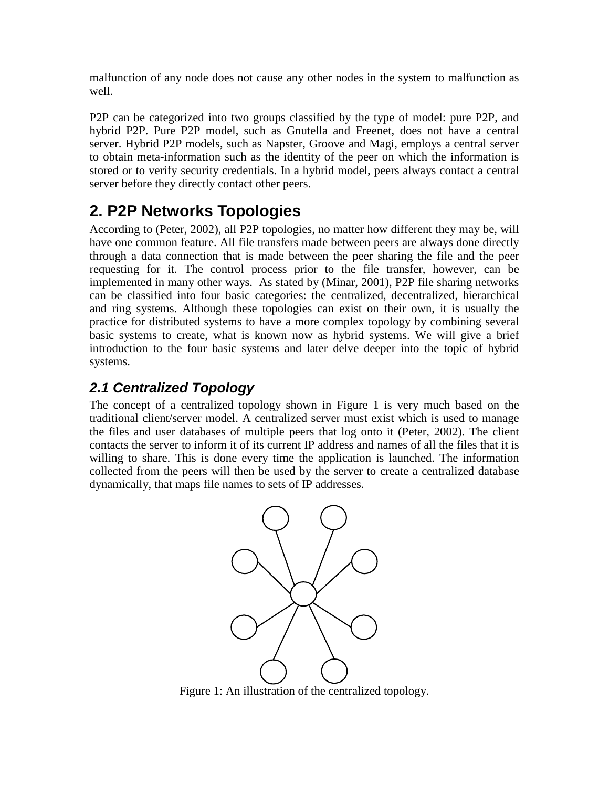malfunction of any node does not cause any other nodes in the system to malfunction as well.

P2P can be categorized into two groups classified by the type of model: pure P2P, and hybrid P2P. Pure P2P model, such as Gnutella and Freenet, does not have a central server. Hybrid P2P models, such as Napster, Groove and Magi, employs a central server to obtain meta-information such as the identity of the peer on which the information is stored or to verify security credentials. In a hybrid model, peers always contact a central server before they directly contact other peers.

## **2. P2P Networks Topologies**

According to (Peter, 2002), all P2P topologies, no matter how different they may be, will have one common feature. All file transfers made between peers are always done directly through a data connection that is made between the peer sharing the file and the peer requesting for it. The control process prior to the file transfer, however, can be implemented in many other ways. As stated by (Minar, 2001), P2P file sharing networks can be classified into four basic categories: the centralized, decentralized, hierarchical and ring systems. Although these topologies can exist on their own, it is usually the practice for distributed systems to have a more complex topology by combining several basic systems to create, what is known now as hybrid systems. We will give a brief introduction to the four basic systems and later delve deeper into the topic of hybrid systems.

## **2.1 Centralized Topology**

The concept of a centralized topology shown in Figure 1 is very much based on the traditional client/server model. A centralized server must exist which is used to manage the files and user databases of multiple peers that log onto it (Peter, 2002). The client contacts the server to inform it of its current IP address and names of all the files that it is willing to share. This is done every time the application is launched. The information collected from the peers will then be used by the server to create a centralized database dynamically, that maps file names to sets of IP addresses.



Figure 1: An illustration of the centralized topology.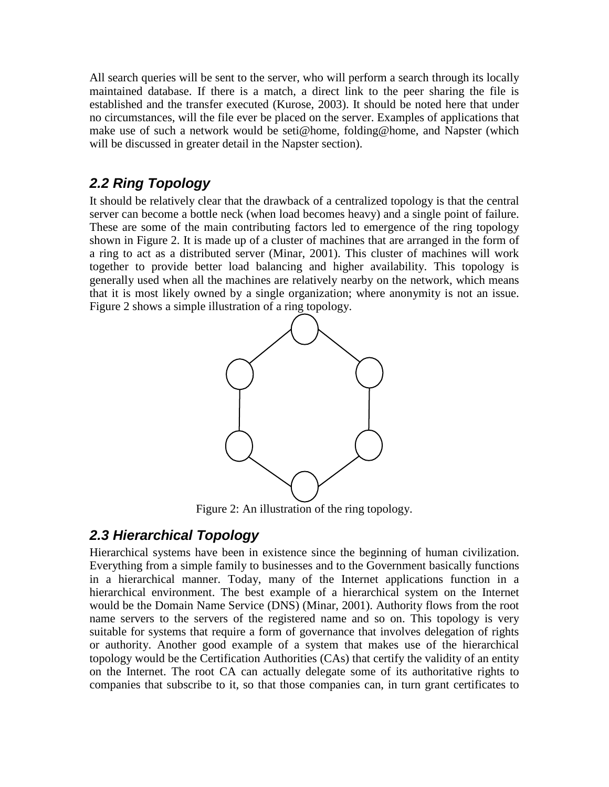All search queries will be sent to the server, who will perform a search through its locally maintained database. If there is a match, a direct link to the peer sharing the file is established and the transfer executed (Kurose, 2003). It should be noted here that under no circumstances, will the file ever be placed on the server. Examples of applications that make use of such a network would be seti@home, folding@home, and Napster (which will be discussed in greater detail in the Napster section).

## **2.2 Ring Topology**

It should be relatively clear that the drawback of a centralized topology is that the central server can become a bottle neck (when load becomes heavy) and a single point of failure. These are some of the main contributing factors led to emergence of the ring topology shown in Figure 2. It is made up of a cluster of machines that are arranged in the form of a ring to act as a distributed server (Minar, 2001). This cluster of machines will work together to provide better load balancing and higher availability. This topology is generally used when all the machines are relatively nearby on the network, which means that it is most likely owned by a single organization; where anonymity is not an issue. Figure 2 shows a simple illustration of a ring topology.



Figure 2: An illustration of the ring topology.

## **2.3 Hierarchical Topology**

Hierarchical systems have been in existence since the beginning of human civilization. Everything from a simple family to businesses and to the Government basically functions in a hierarchical manner. Today, many of the Internet applications function in a hierarchical environment. The best example of a hierarchical system on the Internet would be the Domain Name Service (DNS) (Minar, 2001). Authority flows from the root name servers to the servers of the registered name and so on. This topology is very suitable for systems that require a form of governance that involves delegation of rights or authority. Another good example of a system that makes use of the hierarchical topology would be the Certification Authorities (CAs) that certify the validity of an entity on the Internet. The root CA can actually delegate some of its authoritative rights to companies that subscribe to it, so that those companies can, in turn grant certificates to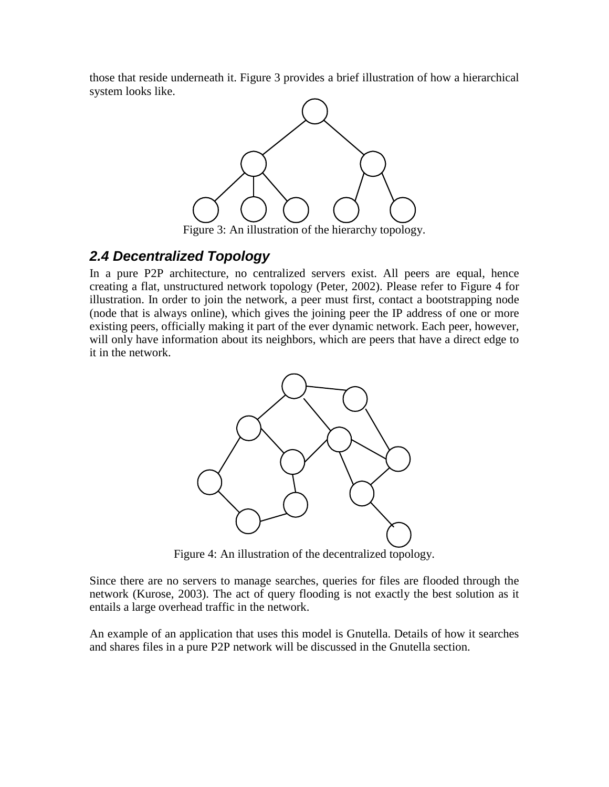those that reside underneath it. Figure 3 provides a brief illustration of how a hierarchical system looks like.



#### **2.4 Decentralized Topology**

In a pure P2P architecture, no centralized servers exist. All peers are equal, hence creating a flat, unstructured network topology (Peter, 2002). Please refer to Figure 4 for illustration. In order to join the network, a peer must first, contact a bootstrapping node (node that is always online), which gives the joining peer the IP address of one or more existing peers, officially making it part of the ever dynamic network. Each peer, however, will only have information about its neighbors, which are peers that have a direct edge to it in the network.



Figure 4: An illustration of the decentralized topology.

Since there are no servers to manage searches, queries for files are flooded through the network (Kurose, 2003). The act of query flooding is not exactly the best solution as it entails a large overhead traffic in the network.

An example of an application that uses this model is Gnutella. Details of how it searches and shares files in a pure P2P network will be discussed in the Gnutella section.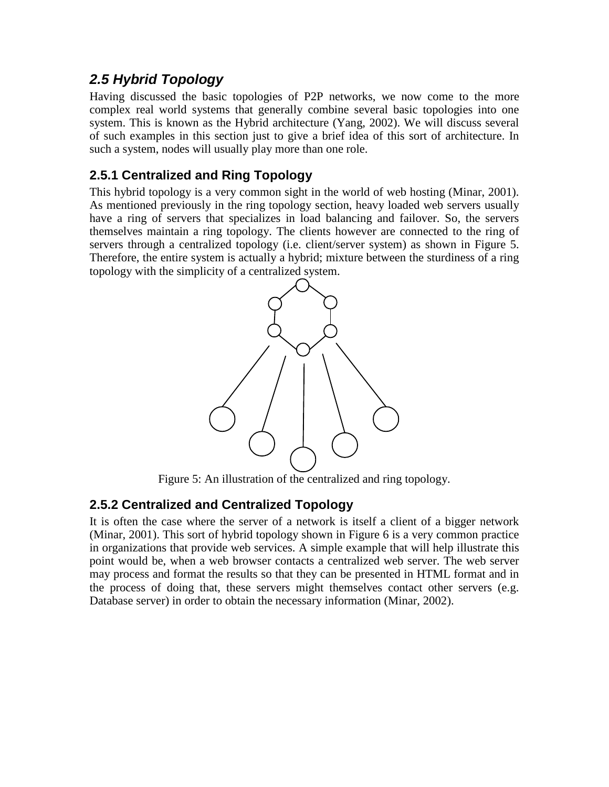## **2.5 Hybrid Topology**

Having discussed the basic topologies of P2P networks, we now come to the more complex real world systems that generally combine several basic topologies into one system. This is known as the Hybrid architecture (Yang, 2002). We will discuss several of such examples in this section just to give a brief idea of this sort of architecture. In such a system, nodes will usually play more than one role.

### **2.5.1 Centralized and Ring Topology**

This hybrid topology is a very common sight in the world of web hosting (Minar, 2001). As mentioned previously in the ring topology section, heavy loaded web servers usually have a ring of servers that specializes in load balancing and failover. So, the servers themselves maintain a ring topology. The clients however are connected to the ring of servers through a centralized topology (i.e. client/server system) as shown in Figure 5. Therefore, the entire system is actually a hybrid; mixture between the sturdiness of a ring topology with the simplicity of a centralized system.



Figure 5: An illustration of the centralized and ring topology.

#### **2.5.2 Centralized and Centralized Topology**

It is often the case where the server of a network is itself a client of a bigger network (Minar, 2001). This sort of hybrid topology shown in Figure 6 is a very common practice in organizations that provide web services. A simple example that will help illustrate this point would be, when a web browser contacts a centralized web server. The web server may process and format the results so that they can be presented in HTML format and in the process of doing that, these servers might themselves contact other servers (e.g. Database server) in order to obtain the necessary information (Minar, 2002).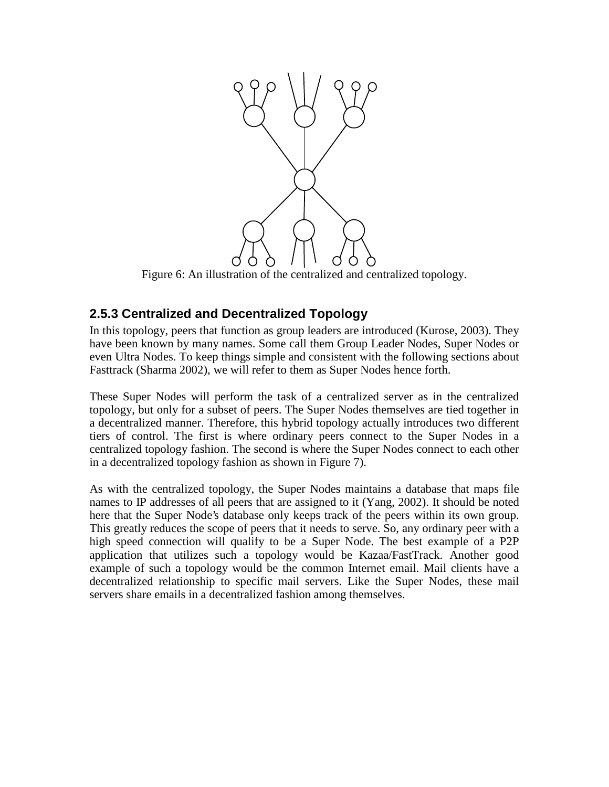

Figure 6: An illustration of the centralized and centralized topology.

#### **2.5.3 Centralized and Decentralized Topology**

In this topology, peers that function as group leaders are introduced (Kurose, 2003). They have been known by many names. Some call them Group Leader Nodes, Super Nodes or even Ultra Nodes. To keep things simple and consistent with the following sections about Fasttrack (Sharma 2002), we will refer to them as Super Nodes hence forth.

These Super Nodes will perform the task of a centralized server as in the centralized topology, but only for a subset of peers. The Super Nodes themselves are tied together in a decentralized manner. Therefore, this hybrid topology actually introduces two different tiers of control. The first is where ordinary peers connect to the Super Nodes in a centralized topology fashion. The second is where the Super Nodes connect to each other in a decentralized topology fashion as shown in Figure 7).

As with the centralized topology, the Super Nodes maintains a database that maps file names to IP addresses of all peers that are assigned to it (Yang, 2002). It should be noted here that the Super Node's database only keeps track of the peers within its own group. This greatly reduces the scope of peers that it needs to serve. So, any ordinary peer with a high speed connection will qualify to be a Super Node. The best example of a P2P application that utilizes such a topology would be Kazaa/FastTrack. Another good example of such a topology would be the common Internet email. Mail clients have a decentralized relationship to specific mail servers. Like the Super Nodes, these mail servers share emails in a decentralized fashion among themselves.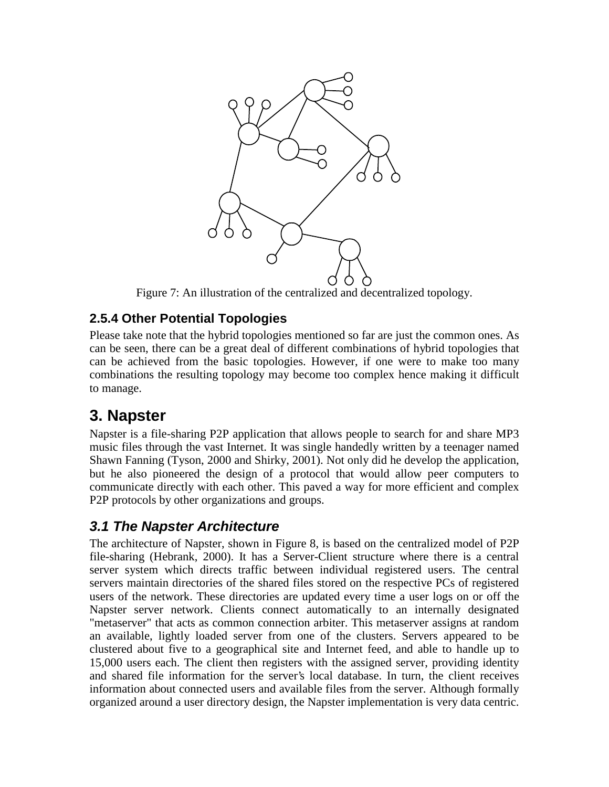

Figure 7: An illustration of the centralized and decentralized topology.

#### **2.5.4 Other Potential Topologies**

Please take note that the hybrid topologies mentioned so far are just the common ones. As can be seen, there can be a great deal of different combinations of hybrid topologies that can be achieved from the basic topologies. However, if one were to make too many combinations the resulting topology may become too complex hence making it difficult to manage.

## **3. Napster**

Napster is a file-sharing P2P application that allows people to search for and share MP3 music files through the vast Internet. It was single handedly written by a teenager named Shawn Fanning (Tyson, 2000 and Shirky, 2001). Not only did he develop the application, but he also pioneered the design of a protocol that would allow peer computers to communicate directly with each other. This paved a way for more efficient and complex P2P protocols by other organizations and groups.

## **3.1 The Napster Architecture**

The architecture of Napster, shown in Figure 8, is based on the centralized model of P2P file-sharing (Hebrank, 2000). It has a Server-Client structure where there is a central server system which directs traffic between individual registered users. The central servers maintain directories of the shared files stored on the respective PCs of registered users of the network. These directories are updated every time a user logs on or off the Napster server network. Clients connect automatically to an internally designated "metaserver" that acts as common connection arbiter. This metaserver assigns at random an available, lightly loaded server from one of the clusters. Servers appeared to be clustered about five to a geographical site and Internet feed, and able to handle up to 15,000 users each. The client then registers with the assigned server, providing identity and shared file information for the server's local database. In turn, the client receives information about connected users and available files from the server. Although formally organized around a user directory design, the Napster implementation is very data centric.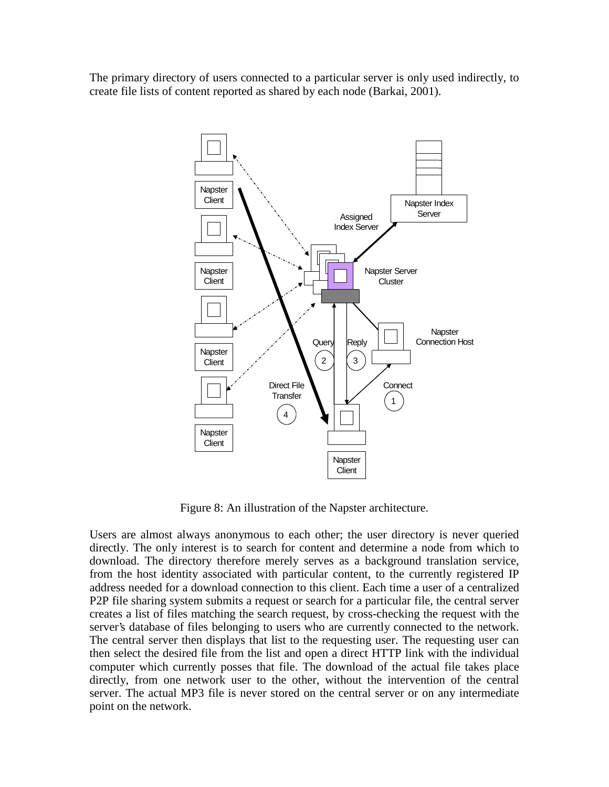The primary directory of users connected to a particular server is only used indirectly, to create file lists of content reported as shared by each node (Barkai, 2001).



Figure 8: An illustration of the Napster architecture.

Users are almost always anonymous to each other; the user directory is never queried directly. The only interest is to search for content and determine a node from which to download. The directory therefore merely serves as a background translation service, from the host identity associated with particular content, to the currently registered IP address needed for a download connection to this client. Each time a user of a centralized P2P file sharing system submits a request or search for a particular file, the central server creates a list of files matching the search request, by cross-checking the request with the server's database of files belonging to users who are currently connected to the network. The central server then displays that list to the requesting user. The requesting user can then select the desired file from the list and open a direct HTTP link with the individual computer which currently posses that file. The download of the actual file takes place directly, from one network user to the other, without the intervention of the central server. The actual MP3 file is never stored on the central server or on any intermediate point on the network.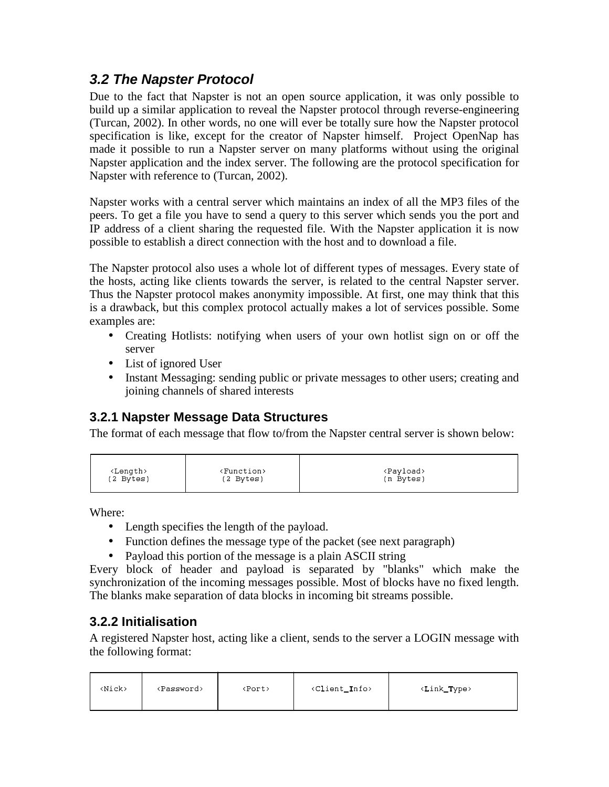## **3.2 The Napster Protocol**

Due to the fact that Napster is not an open source application, it was only possible to build up a similar application to reveal the Napster protocol through reverse-engineering (Turcan, 2002). In other words, no one will ever be totally sure how the Napster protocol specification is like, except for the creator of Napster himself. Project OpenNap has made it possible to run a Napster server on many platforms without using the original Napster application and the index server. The following are the protocol specification for Napster with reference to (Turcan, 2002).

Napster works with a central server which maintains an index of all the MP3 files of the peers. To get a file you have to send a query to this server which sends you the port and IP address of a client sharing the requested file. With the Napster application it is now possible to establish a direct connection with the host and to download a file.

The Napster protocol also uses a whole lot of different types of messages. Every state of the hosts, acting like clients towards the server, is related to the central Napster server. Thus the Napster protocol makes anonymity impossible. At first, one may think that this is a drawback, but this complex protocol actually makes a lot of services possible. Some examples are:

- Creating Hotlists: notifying when users of your own hotlist sign on or off the server
- List of ignored User
- Instant Messaging: sending public or private messages to other users; creating and joining channels of shared interests

#### **3.2.1 Napster Message Data Structures**

The format of each message that flow to/from the Napster central server is shown below:

| <length></length>  | <function></function> | <payload></payload> |  |
|--------------------|-----------------------|---------------------|--|
| $(2 \text{Bytes})$ | $(2$ Bytes)           | (n Bytes)           |  |

Where:

- Length specifies the length of the payload.
- Function defines the message type of the packet (see next paragraph)
- Payload this portion of the message is a plain ASCII string

Every block of header and payload is separated by "blanks" which make the synchronization of the incoming messages possible. Most of blocks have no fixed length. The blanks make separation of data blocks in incoming bit streams possible.

#### **3.2.2 Initialisation**

A registered Napster host, acting like a client, sends to the server a LOGIN message with the following format:

| <nick></nick> | <password></password> | <port></port> | <client_info></client_info> | <link_type></link_type> |
|---------------|-----------------------|---------------|-----------------------------|-------------------------|
|---------------|-----------------------|---------------|-----------------------------|-------------------------|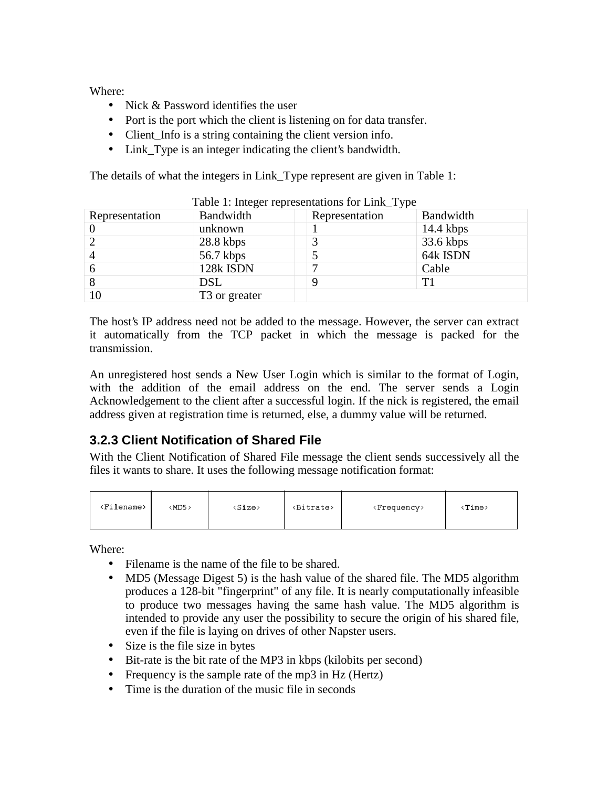Where:

- Nick & Password identifies the user
- Port is the port which the client is listening on for data transfer.
- Client\_Info is a string containing the client version info.
- Link Type is an integer indicating the client's bandwidth.

The details of what the integers in Link\_Type represent are given in Table 1:

|                | Table 1. Integer representations for Emix_1 ypc |                |                     |  |  |  |  |
|----------------|-------------------------------------------------|----------------|---------------------|--|--|--|--|
| Representation | Bandwidth                                       | Representation | Bandwidth           |  |  |  |  |
|                | unknown                                         |                | $14.4 \text{ kbps}$ |  |  |  |  |
|                | $28.8$ kbps                                     |                | $33.6$ kbps         |  |  |  |  |
|                | 56.7 kbps                                       |                | 64k ISDN            |  |  |  |  |
|                | 128k ISDN                                       |                | Cable               |  |  |  |  |
|                | DSL                                             |                | T1                  |  |  |  |  |
|                | T <sub>3</sub> or greater                       |                |                     |  |  |  |  |

Table 1: Integer representations for Link\_Type

The host's IP address need not be added to the message. However, the server can extract it automatically from the TCP packet in which the message is packed for the transmission.

An unregistered host sends a New User Login which is similar to the format of Login, with the addition of the email address on the end. The server sends a Login Acknowledgement to the client after a successful login. If the nick is registered, the email address given at registration time is returned, else, a dummy value will be returned.

#### **3.2.3 Client Notification of Shared File**

With the Client Notification of Shared File message the client sends successively all the files it wants to share. It uses the following message notification format:

| <filename></filename> | <md5></md5> | <size></size> | <bitrate></bitrate> | <frequency></frequency> | <time></time> |
|-----------------------|-------------|---------------|---------------------|-------------------------|---------------|
|-----------------------|-------------|---------------|---------------------|-------------------------|---------------|

Where:

- Filename is the name of the file to be shared.
- MD5 (Message Digest 5) is the hash value of the shared file. The MD5 algorithm produces a 128-bit "fingerprint" of any file. It is nearly computationally infeasible to produce two messages having the same hash value. The MD5 algorithm is intended to provide any user the possibility to secure the origin of his shared file, even if the file is laying on drives of other Napster users.
- Size is the file size in bytes
- Bit-rate is the bit rate of the MP3 in kbps (kilobits per second)
- Frequency is the sample rate of the mp3 in Hz (Hertz)
- Time is the duration of the music file in seconds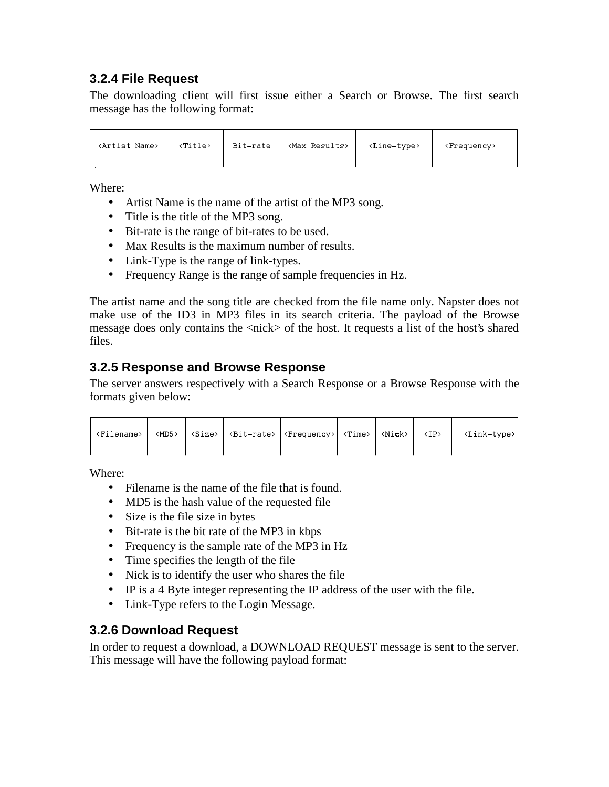### **3.2.4 File Request**

The downloading client will first issue either a Search or Browse. The first search message has the following format:

Where:

- Artist Name is the name of the artist of the MP3 song.
- Title is the title of the MP3 song.
- Bit-rate is the range of bit-rates to be used.
- Max Results is the maximum number of results.
- Link-Type is the range of link-types.
- Frequency Range is the range of sample frequencies in Hz.

The artist name and the song title are checked from the file name only. Napster does not make use of the ID3 in MP3 files in its search criteria. The payload of the Browse message does only contains the <nick> of the host. It requests a list of the host's shared files.

#### **3.2.5 Response and Browse Response**

The server answers respectively with a Search Response or a Browse Response with the formats given below:

Where:

- Filename is the name of the file that is found.
- MD5 is the hash value of the requested file
- Size is the file size in bytes
- Bit-rate is the bit rate of the MP3 in kbps
- Frequency is the sample rate of the MP3 in Hz
- Time specifies the length of the file
- Nick is to identify the user who shares the file
- IP is a 4 Byte integer representing the IP address of the user with the file.
- Link-Type refers to the Login Message.

#### **3.2.6 Download Request**

In order to request a download, a DOWNLOAD REQUEST message is sent to the server. This message will have the following payload format: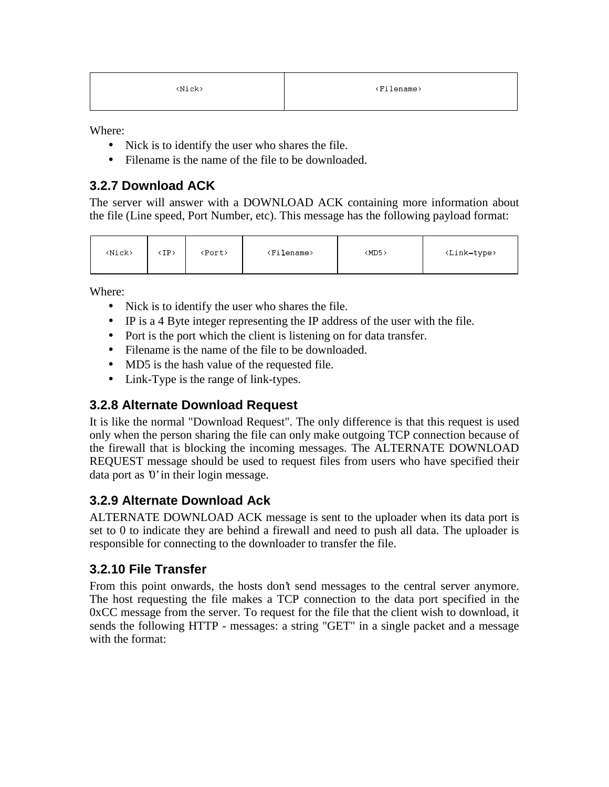| <nick></nick> | <filename></filename> |
|---------------|-----------------------|
|               |                       |

Where:

- Nick is to identify the user who shares the file.
- Filename is the name of the file to be downloaded.

### **3.2.7 Download ACK**

The server will answer with a DOWNLOAD ACK containing more information about the file (Line speed, Port Number, etc). This message has the following payload format:

| <nick></nick> | IP | <port></port> | <filename></filename> | <md5></md5> | <link-type></link-type> |
|---------------|----|---------------|-----------------------|-------------|-------------------------|
|---------------|----|---------------|-----------------------|-------------|-------------------------|

Where:

- Nick is to identify the user who shares the file.
- IP is a 4 Byte integer representing the IP address of the user with the file.
- Port is the port which the client is listening on for data transfer.
- Filename is the name of the file to be downloaded.
- MD5 is the hash value of the requested file.
- Link-Type is the range of link-types.

#### **3.2.8 Alternate Download Request**

It is like the normal "Download Request". The only difference is that this request is used only when the person sharing the file can only make outgoing TCP connection because of the firewall that is blocking the incoming messages. The ALTERNATE DOWNLOAD REQUEST message should be used to request files from users who have specified their data port as '0'in their login message.

## **3.2.9 Alternate Download Ack**

ALTERNATE DOWNLOAD ACK message is sent to the uploader when its data port is set to 0 to indicate they are behind a firewall and need to push all data. The uploader is responsible for connecting to the downloader to transfer the file.

#### **3.2.10 File Transfer**

From this point onwards, the hosts don't send messages to the central server anymore. The host requesting the file makes a TCP connection to the data port specified in the 0xCC message from the server. To request for the file that the client wish to download, it sends the following HTTP - messages: a string "GET" in a single packet and a message with the format: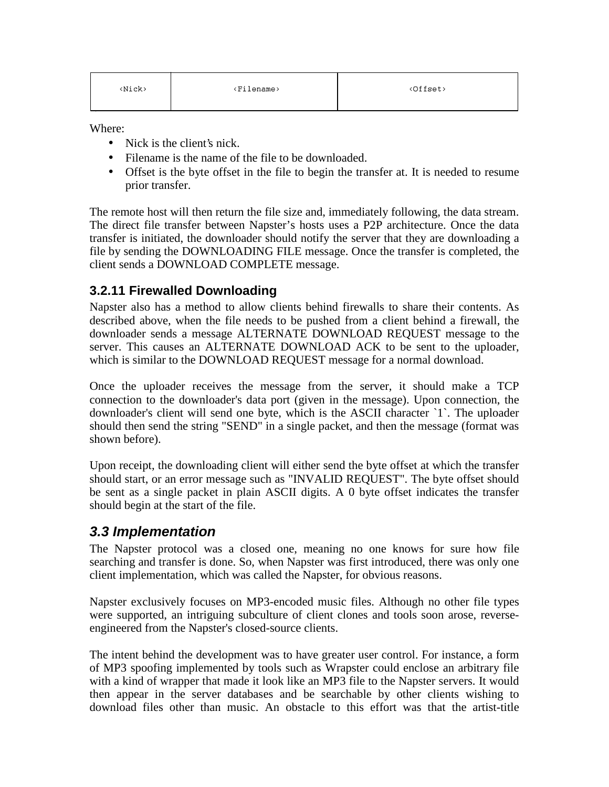| <nick></nick> | <filename></filename> | <offset></offset> |
|---------------|-----------------------|-------------------|
|               |                       |                   |

Where:

- Nick is the client's nick.
- Filename is the name of the file to be downloaded.
- Offset is the byte offset in the file to begin the transfer at. It is needed to resume prior transfer.

The remote host will then return the file size and, immediately following, the data stream. The direct file transfer between Napster's hosts uses a P2P architecture. Once the data transfer is initiated, the downloader should notify the server that they are downloading a file by sending the DOWNLOADING FILE message. Once the transfer is completed, the client sends a DOWNLOAD COMPLETE message.

#### **3.2.11 Firewalled Downloading**

Napster also has a method to allow clients behind firewalls to share their contents. As described above, when the file needs to be pushed from a client behind a firewall, the downloader sends a message ALTERNATE DOWNLOAD REQUEST message to the server. This causes an ALTERNATE DOWNLOAD ACK to be sent to the uploader, which is similar to the DOWNLOAD REQUEST message for a normal download.

Once the uploader receives the message from the server, it should make a TCP connection to the downloader's data port (given in the message). Upon connection, the downloader's client will send one byte, which is the ASCII character `1`. The uploader should then send the string "SEND" in a single packet, and then the message (format was shown before).

Upon receipt, the downloading client will either send the byte offset at which the transfer should start, or an error message such as "INVALID REQUEST". The byte offset should be sent as a single packet in plain ASCII digits. A 0 byte offset indicates the transfer should begin at the start of the file.

#### **3.3 Implementation**

The Napster protocol was a closed one, meaning no one knows for sure how file searching and transfer is done. So, when Napster was first introduced, there was only one client implementation, which was called the Napster, for obvious reasons.

Napster exclusively focuses on MP3-encoded music files. Although no other file types were supported, an intriguing subculture of client clones and tools soon arose, reverseengineered from the Napster's closed-source clients.

The intent behind the development was to have greater user control. For instance, a form of MP3 spoofing implemented by tools such as Wrapster could enclose an arbitrary file with a kind of wrapper that made it look like an MP3 file to the Napster servers. It would then appear in the server databases and be searchable by other clients wishing to download files other than music. An obstacle to this effort was that the artist-title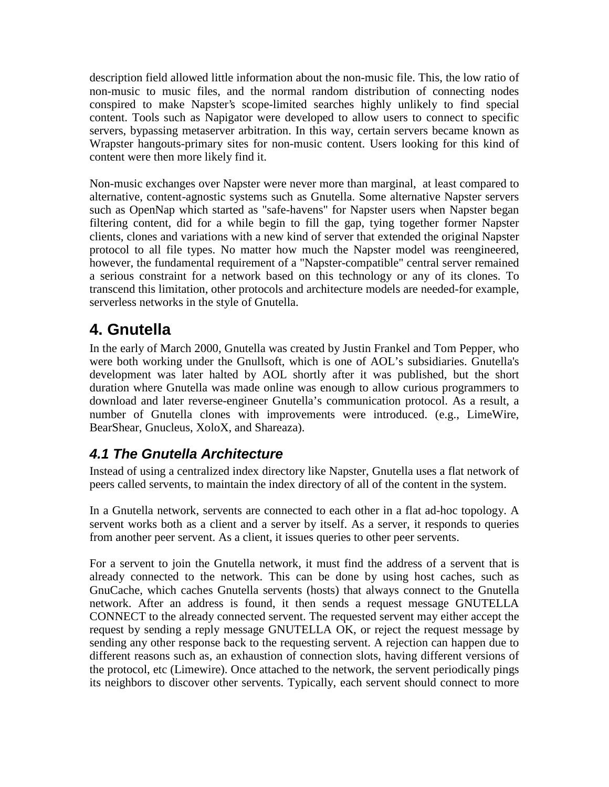description field allowed little information about the non-music file. This, the low ratio of non-music to music files, and the normal random distribution of connecting nodes conspired to make Napster's scope-limited searches highly unlikely to find special content. Tools such as Napigator were developed to allow users to connect to specific servers, bypassing metaserver arbitration. In this way, certain servers became known as Wrapster hangouts-primary sites for non-music content. Users looking for this kind of content were then more likely find it.

Non-music exchanges over Napster were never more than marginal, at least compared to alternative, content-agnostic systems such as Gnutella. Some alternative Napster servers such as OpenNap which started as "safe-havens" for Napster users when Napster began filtering content, did for a while begin to fill the gap, tying together former Napster clients, clones and variations with a new kind of server that extended the original Napster protocol to all file types. No matter how much the Napster model was reengineered, however, the fundamental requirement of a "Napster-compatible" central server remained a serious constraint for a network based on this technology or any of its clones. To transcend this limitation, other protocols and architecture models are needed-for example, serverless networks in the style of Gnutella.

## **4. Gnutella**

In the early of March 2000, Gnutella was created by Justin Frankel and Tom Pepper, who were both working under the Gnullsoft, which is one of AOL's subsidiaries. Gnutella's development was later halted by AOL shortly after it was published, but the short duration where Gnutella was made online was enough to allow curious programmers to download and later reverse-engineer Gnutella's communication protocol. As a result, a number of Gnutella clones with improvements were introduced. (e.g., LimeWire, BearShear, Gnucleus, XoloX, and Shareaza).

## **4.1 The Gnutella Architecture**

Instead of using a centralized index directory like Napster, Gnutella uses a flat network of peers called servents, to maintain the index directory of all of the content in the system.

In a Gnutella network, servents are connected to each other in a flat ad-hoc topology. A servent works both as a client and a server by itself. As a server, it responds to queries from another peer servent. As a client, it issues queries to other peer servents.

For a servent to join the Gnutella network, it must find the address of a servent that is already connected to the network. This can be done by using host caches, such as GnuCache, which caches Gnutella servents (hosts) that always connect to the Gnutella network. After an address is found, it then sends a request message GNUTELLA CONNECT to the already connected servent. The requested servent may either accept the request by sending a reply message GNUTELLA OK, or reject the request message by sending any other response back to the requesting servent. A rejection can happen due to different reasons such as, an exhaustion of connection slots, having different versions of the protocol, etc (Limewire). Once attached to the network, the servent periodically pings its neighbors to discover other servents. Typically, each servent should connect to more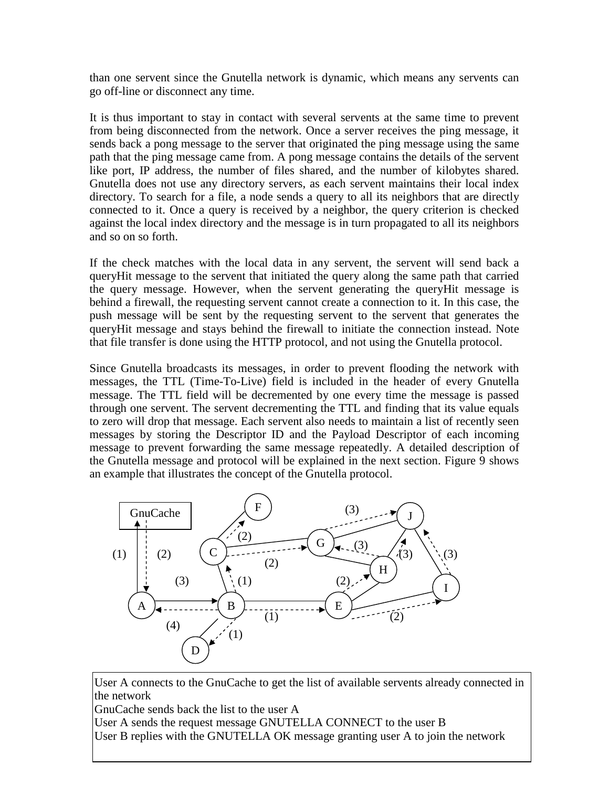than one servent since the Gnutella network is dynamic, which means any servents can go off-line or disconnect any time.

It is thus important to stay in contact with several servents at the same time to prevent from being disconnected from the network. Once a server receives the ping message, it sends back a pong message to the server that originated the ping message using the same path that the ping message came from. A pong message contains the details of the servent like port, IP address, the number of files shared, and the number of kilobytes shared. Gnutella does not use any directory servers, as each servent maintains their local index directory. To search for a file, a node sends a query to all its neighbors that are directly connected to it. Once a query is received by a neighbor, the query criterion is checked against the local index directory and the message is in turn propagated to all its neighbors and so on so forth.

If the check matches with the local data in any servent, the servent will send back a queryHit message to the servent that initiated the query along the same path that carried the query message. However, when the servent generating the queryHit message is behind a firewall, the requesting servent cannot create a connection to it. In this case, the push message will be sent by the requesting servent to the servent that generates the queryHit message and stays behind the firewall to initiate the connection instead. Note that file transfer is done using the HTTP protocol, and not using the Gnutella protocol.

Since Gnutella broadcasts its messages, in order to prevent flooding the network with messages, the TTL (Time-To-Live) field is included in the header of every Gnutella message. The TTL field will be decremented by one every time the message is passed through one servent. The servent decrementing the TTL and finding that its value equals to zero will drop that message. Each servent also needs to maintain a list of recently seen messages by storing the Descriptor ID and the Payload Descriptor of each incoming message to prevent forwarding the same message repeatedly. A detailed description of the Gnutella message and protocol will be explained in the next section. Figure 9 shows an example that illustrates the concept of the Gnutella protocol.



User A connects to the GnuCache to get the list of available servents already connected in the network

GnuCache sends back the list to the user A User A sends the request message GNUTELLA CONNECT to the user B User B replies with the GNUTELLA OK message granting user A to join the network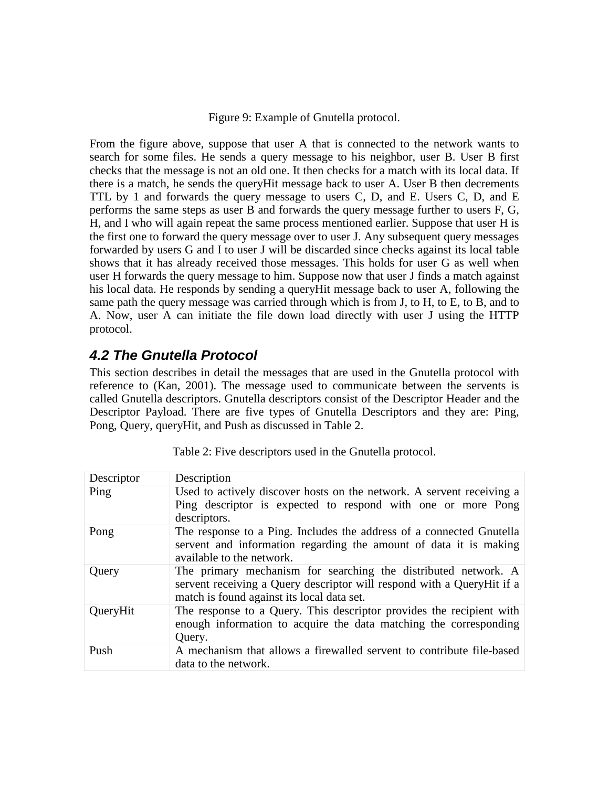Figure 9: Example of Gnutella protocol.

From the figure above, suppose that user A that is connected to the network wants to search for some files. He sends a query message to his neighbor, user B. User B first checks that the message is not an old one. It then checks for a match with its local data. If there is a match, he sends the queryHit message back to user A. User B then decrements TTL by 1 and forwards the query message to users C, D, and E. Users C, D, and E performs the same steps as user B and forwards the query message further to users F, G, H, and I who will again repeat the same process mentioned earlier. Suppose that user H is the first one to forward the query message over to user J. Any subsequent query messages forwarded by users G and I to user J will be discarded since checks against its local table shows that it has already received those messages. This holds for user G as well when user H forwards the query message to him. Suppose now that user J finds a match against his local data. He responds by sending a queryHit message back to user A, following the same path the query message was carried through which is from J, to H, to E, to B, and to A. Now, user A can initiate the file down load directly with user J using the HTTP protocol.

### **4.2 The Gnutella Protocol**

This section describes in detail the messages that are used in the Gnutella protocol with reference to (Kan, 2001). The message used to communicate between the servents is called Gnutella descriptors. Gnutella descriptors consist of the Descriptor Header and the Descriptor Payload. There are five types of Gnutella Descriptors and they are: Ping, Pong, Query, queryHit, and Push as discussed in Table 2.

| Descriptor | Description                                                            |
|------------|------------------------------------------------------------------------|
| Ping       | Used to actively discover hosts on the network. A servent receiving a  |
|            | Ping descriptor is expected to respond with one or more Pong           |
|            | descriptors.                                                           |
| Pong       | The response to a Ping. Includes the address of a connected Gnutella   |
|            | servent and information regarding the amount of data it is making      |
|            | available to the network.                                              |
| Query      | The primary mechanism for searching the distributed network. A         |
|            | servent receiving a Query descriptor will respond with a QueryHit if a |
|            | match is found against its local data set.                             |
| QueryHit   | The response to a Query. This descriptor provides the recipient with   |
|            | enough information to acquire the data matching the corresponding      |
|            | Query.                                                                 |
| Push       | A mechanism that allows a firewalled servent to contribute file-based  |
|            | data to the network.                                                   |

| Table 2: Five descriptors used in the Gnutella protocol. |  |  |
|----------------------------------------------------------|--|--|
|----------------------------------------------------------|--|--|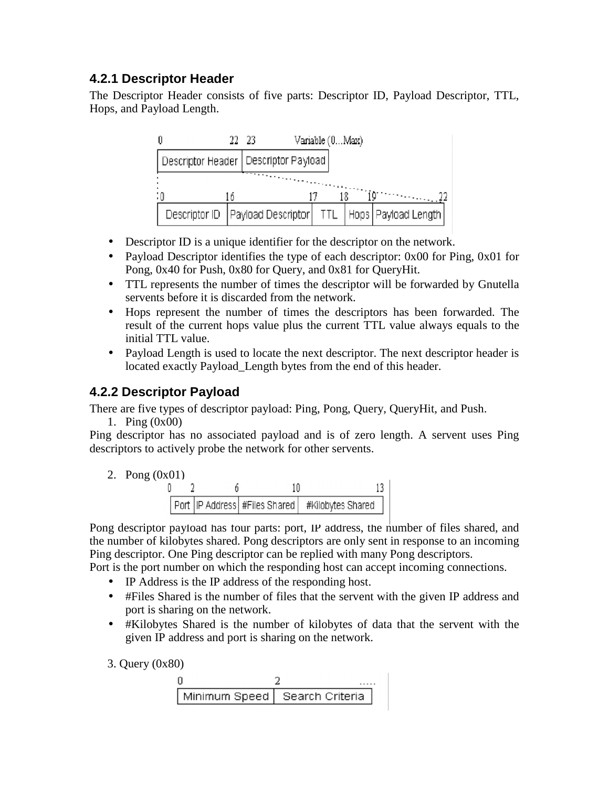#### **4.2.1 Descriptor Header**

The Descriptor Header consists of five parts: Descriptor ID, Payload Descriptor, TTL, Hops, and Payload Length.



- Descriptor ID is a unique identifier for the descriptor on the network.
- Payload Descriptor identifies the type of each descriptor: 0x00 for Ping, 0x01 for Pong, 0x40 for Push, 0x80 for Query, and 0x81 for QueryHit.
- TTL represents the number of times the descriptor will be forwarded by Gnutella servents before it is discarded from the network.
- Hops represent the number of times the descriptors has been forwarded. The result of the current hops value plus the current TTL value always equals to the initial TTL value.
- Payload Length is used to locate the next descriptor. The next descriptor header is located exactly Payload\_Length bytes from the end of this header.

### **4.2.2 Descriptor Payload**

There are five types of descriptor payload: Ping, Pong, Query, QueryHit, and Push.

1. Ping  $(0x00)$ 

Ping descriptor has no associated payload and is of zero length. A servent uses Ping descriptors to actively probe the network for other servents.

$$
2. \ \text{Pong } (0x01)
$$



Pong descriptor payload has four parts: port, IP address, the number of files shared, and the number of kilobytes shared. Pong descriptors are only sent in response to an incoming Ping descriptor. One Ping descriptor can be replied with many Pong descriptors.

Port is the port number on which the responding host can accept incoming connections.

- IP Address is the IP address of the responding host.
- #Files Shared is the number of files that the servent with the given IP address and port is sharing on the network.
- #Kilobytes Shared is the number of kilobytes of data that the servent with the given IP address and port is sharing on the network.
- 3. Query (0x80)

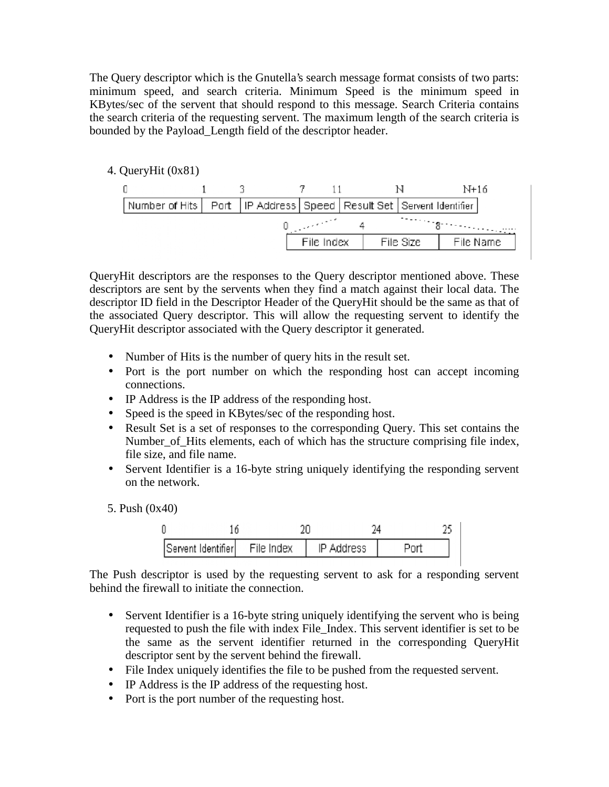The Query descriptor which is the Gnutella's search message format consists of two parts: minimum speed, and search criteria. Minimum Speed is the minimum speed in KBytes/sec of the servent that should respond to this message. Search Criteria contains the search criteria of the requesting servent. The maximum length of the search criteria is bounded by the Payload\_Length field of the descriptor header.

#### 4. QueryHit (0x81)

|                                                                              |  |            |            | N+16      |
|------------------------------------------------------------------------------|--|------------|------------|-----------|
| Number of Hits   Part   IP Address   Speed   Result Set   Servent Identifier |  |            |            |           |
|                                                                              |  |            |            |           |
|                                                                              |  | File Index | File Size. | File Name |

QueryHit descriptors are the responses to the Query descriptor mentioned above. These descriptors are sent by the servents when they find a match against their local data. The descriptor ID field in the Descriptor Header of the QueryHit should be the same as that of the associated Query descriptor. This will allow the requesting servent to identify the QueryHit descriptor associated with the Query descriptor it generated.

- Number of Hits is the number of query hits in the result set.
- Port is the port number on which the responding host can accept incoming connections.
- IP Address is the IP address of the responding host.
- Speed is the speed in KBytes/sec of the responding host.
- Result Set is a set of responses to the corresponding Query. This set contains the Number\_of\_Hits elements, each of which has the structure comprising file index, file size, and file name.
- Servent Identifier is a 16-byte string uniquely identifying the responding servent on the network.

#### 5. Push (0x40)

| 0 |                    |            |         |  |  |
|---|--------------------|------------|---------|--|--|
|   | Servent Identifier | File Index | Address |  |  |

The Push descriptor is used by the requesting servent to ask for a responding servent behind the firewall to initiate the connection.

- Servent Identifier is a 16-byte string uniquely identifying the servent who is being requested to push the file with index File\_Index. This servent identifier is set to be the same as the servent identifier returned in the corresponding QueryHit descriptor sent by the servent behind the firewall.
- File Index uniquely identifies the file to be pushed from the requested servent.
- IP Address is the IP address of the requesting host.
- Port is the port number of the requesting host.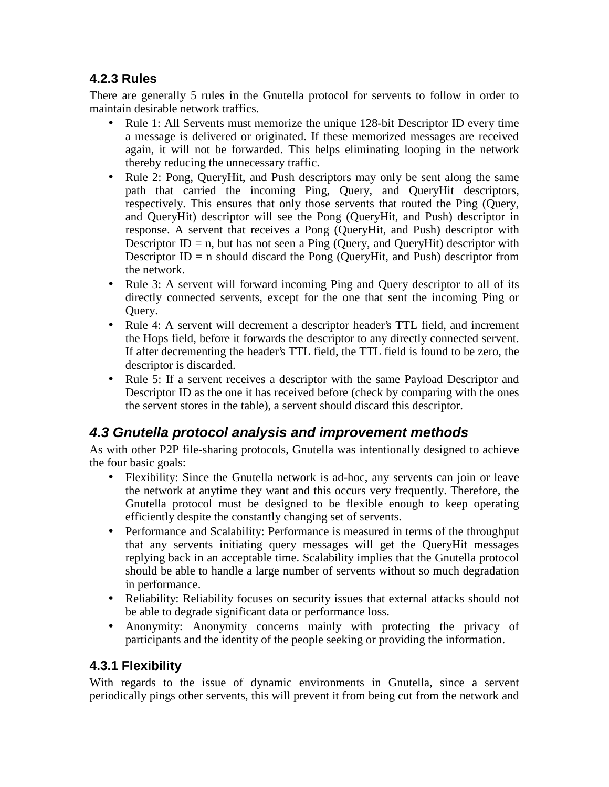#### **4.2.3 Rules**

There are generally 5 rules in the Gnutella protocol for servents to follow in order to maintain desirable network traffics.

- Rule 1: All Servents must memorize the unique 128-bit Descriptor ID every time a message is delivered or originated. If these memorized messages are received again, it will not be forwarded. This helps eliminating looping in the network thereby reducing the unnecessary traffic.
- Rule 2: Pong, QueryHit, and Push descriptors may only be sent along the same path that carried the incoming Ping, Query, and QueryHit descriptors, respectively. This ensures that only those servents that routed the Ping (Query, and QueryHit) descriptor will see the Pong (QueryHit, and Push) descriptor in response. A servent that receives a Pong (QueryHit, and Push) descriptor with Descriptor  $ID = n$ , but has not seen a Ping (Query, and QueryHit) descriptor with Descriptor  $ID = n$  should discard the Pong (QueryHit, and Push) descriptor from the network.
- Rule 3: A servent will forward incoming Ping and Query descriptor to all of its directly connected servents, except for the one that sent the incoming Ping or Query.
- Rule 4: A servent will decrement a descriptor header's TTL field, and increment the Hops field, before it forwards the descriptor to any directly connected servent. If after decrementing the header's TTL field, the TTL field is found to be zero, the descriptor is discarded.
- Rule 5: If a servent receives a descriptor with the same Payload Descriptor and Descriptor ID as the one it has received before (check by comparing with the ones the servent stores in the table), a servent should discard this descriptor.

## **4.3 Gnutella protocol analysis and improvement methods**

As with other P2P file-sharing protocols, Gnutella was intentionally designed to achieve the four basic goals:

- Flexibility: Since the Gnutella network is ad-hoc, any servents can join or leave the network at anytime they want and this occurs very frequently. Therefore, the Gnutella protocol must be designed to be flexible enough to keep operating efficiently despite the constantly changing set of servents.
- Performance and Scalability: Performance is measured in terms of the throughput that any servents initiating query messages will get the QueryHit messages replying back in an acceptable time. Scalability implies that the Gnutella protocol should be able to handle a large number of servents without so much degradation in performance.
- Reliability: Reliability focuses on security issues that external attacks should not be able to degrade significant data or performance loss.
- Anonymity: Anonymity concerns mainly with protecting the privacy of participants and the identity of the people seeking or providing the information.

## **4.3.1 Flexibility**

With regards to the issue of dynamic environments in Gnutella, since a servent periodically pings other servents, this will prevent it from being cut from the network and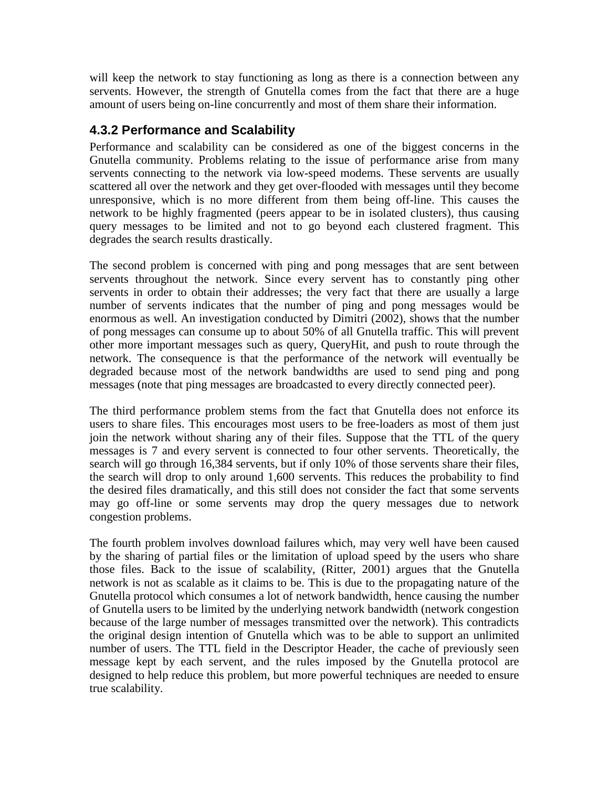will keep the network to stay functioning as long as there is a connection between any servents. However, the strength of Gnutella comes from the fact that there are a huge amount of users being on-line concurrently and most of them share their information.

#### **4.3.2 Performance and Scalability**

Performance and scalability can be considered as one of the biggest concerns in the Gnutella community. Problems relating to the issue of performance arise from many servents connecting to the network via low-speed modems. These servents are usually scattered all over the network and they get over-flooded with messages until they become unresponsive, which is no more different from them being off-line. This causes the network to be highly fragmented (peers appear to be in isolated clusters), thus causing query messages to be limited and not to go beyond each clustered fragment. This degrades the search results drastically.

The second problem is concerned with ping and pong messages that are sent between servents throughout the network. Since every servent has to constantly ping other servents in order to obtain their addresses; the very fact that there are usually a large number of servents indicates that the number of ping and pong messages would be enormous as well. An investigation conducted by Dimitri (2002), shows that the number of pong messages can consume up to about 50% of all Gnutella traffic. This will prevent other more important messages such as query, QueryHit, and push to route through the network. The consequence is that the performance of the network will eventually be degraded because most of the network bandwidths are used to send ping and pong messages (note that ping messages are broadcasted to every directly connected peer).

The third performance problem stems from the fact that Gnutella does not enforce its users to share files. This encourages most users to be free-loaders as most of them just join the network without sharing any of their files. Suppose that the TTL of the query messages is 7 and every servent is connected to four other servents. Theoretically, the search will go through 16,384 servents, but if only 10% of those servents share their files, the search will drop to only around 1,600 servents. This reduces the probability to find the desired files dramatically, and this still does not consider the fact that some servents may go off-line or some servents may drop the query messages due to network congestion problems.

The fourth problem involves download failures which, may very well have been caused by the sharing of partial files or the limitation of upload speed by the users who share those files. Back to the issue of scalability, (Ritter, 2001) argues that the Gnutella network is not as scalable as it claims to be. This is due to the propagating nature of the Gnutella protocol which consumes a lot of network bandwidth, hence causing the number of Gnutella users to be limited by the underlying network bandwidth (network congestion because of the large number of messages transmitted over the network). This contradicts the original design intention of Gnutella which was to be able to support an unlimited number of users. The TTL field in the Descriptor Header, the cache of previously seen message kept by each servent, and the rules imposed by the Gnutella protocol are designed to help reduce this problem, but more powerful techniques are needed to ensure true scalability.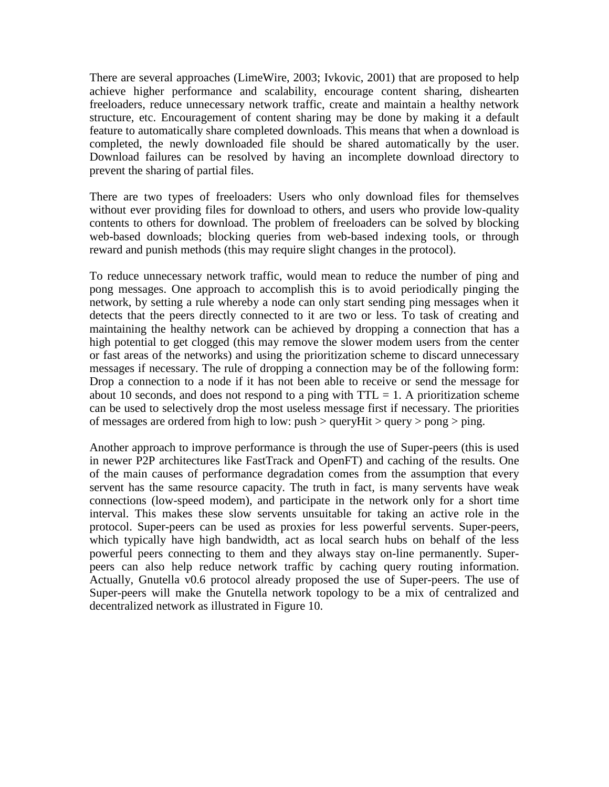There are several approaches (LimeWire, 2003; Ivkovic, 2001) that are proposed to help achieve higher performance and scalability, encourage content sharing, dishearten freeloaders, reduce unnecessary network traffic, create and maintain a healthy network structure, etc. Encouragement of content sharing may be done by making it a default feature to automatically share completed downloads. This means that when a download is completed, the newly downloaded file should be shared automatically by the user. Download failures can be resolved by having an incomplete download directory to prevent the sharing of partial files.

There are two types of freeloaders: Users who only download files for themselves without ever providing files for download to others, and users who provide low-quality contents to others for download. The problem of freeloaders can be solved by blocking web-based downloads; blocking queries from web-based indexing tools, or through reward and punish methods (this may require slight changes in the protocol).

To reduce unnecessary network traffic, would mean to reduce the number of ping and pong messages. One approach to accomplish this is to avoid periodically pinging the network, by setting a rule whereby a node can only start sending ping messages when it detects that the peers directly connected to it are two or less. To task of creating and maintaining the healthy network can be achieved by dropping a connection that has a high potential to get clogged (this may remove the slower modem users from the center or fast areas of the networks) and using the prioritization scheme to discard unnecessary messages if necessary. The rule of dropping a connection may be of the following form: Drop a connection to a node if it has not been able to receive or send the message for about 10 seconds, and does not respond to a ping with  $TTL = 1$ . A prioritization scheme can be used to selectively drop the most useless message first if necessary. The priorities of messages are ordered from high to low:  $push > queryHit > query > pop$ 

Another approach to improve performance is through the use of Super-peers (this is used in newer P2P architectures like FastTrack and OpenFT) and caching of the results. One of the main causes of performance degradation comes from the assumption that every servent has the same resource capacity. The truth in fact, is many servents have weak connections (low-speed modem), and participate in the network only for a short time interval. This makes these slow servents unsuitable for taking an active role in the protocol. Super-peers can be used as proxies for less powerful servents. Super-peers, which typically have high bandwidth, act as local search hubs on behalf of the less powerful peers connecting to them and they always stay on-line permanently. Superpeers can also help reduce network traffic by caching query routing information. Actually, Gnutella v0.6 protocol already proposed the use of Super-peers. The use of Super-peers will make the Gnutella network topology to be a mix of centralized and decentralized network as illustrated in Figure 10.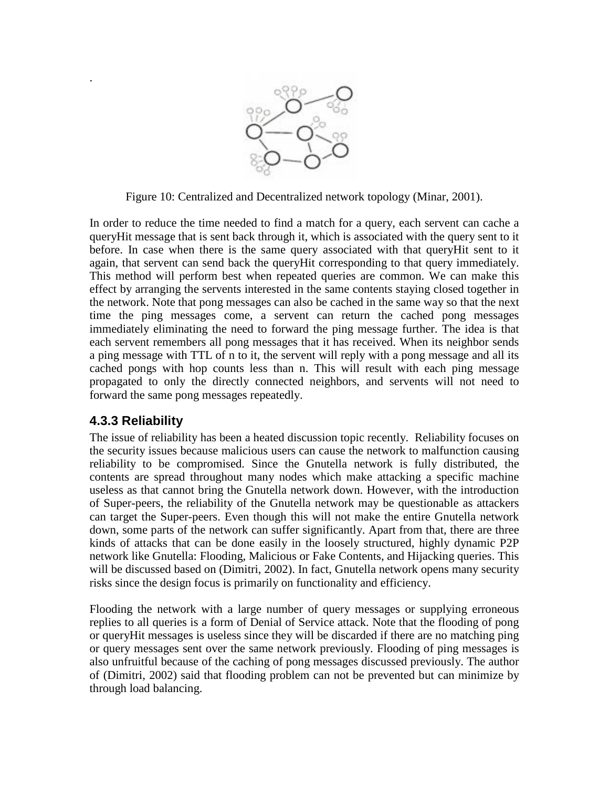

Figure 10: Centralized and Decentralized network topology (Minar, 2001).

In order to reduce the time needed to find a match for a query, each servent can cache a queryHit message that is sent back through it, which is associated with the query sent to it before. In case when there is the same query associated with that queryHit sent to it again, that servent can send back the queryHit corresponding to that query immediately. This method will perform best when repeated queries are common. We can make this effect by arranging the servents interested in the same contents staying closed together in the network. Note that pong messages can also be cached in the same way so that the next time the ping messages come, a servent can return the cached pong messages immediately eliminating the need to forward the ping message further. The idea is that each servent remembers all pong messages that it has received. When its neighbor sends a ping message with TTL of n to it, the servent will reply with a pong message and all its cached pongs with hop counts less than n. This will result with each ping message propagated to only the directly connected neighbors, and servents will not need to forward the same pong messages repeatedly.

#### **4.3.3 Reliability**

.

The issue of reliability has been a heated discussion topic recently. Reliability focuses on the security issues because malicious users can cause the network to malfunction causing reliability to be compromised. Since the Gnutella network is fully distributed, the contents are spread throughout many nodes which make attacking a specific machine useless as that cannot bring the Gnutella network down. However, with the introduction of Super-peers, the reliability of the Gnutella network may be questionable as attackers can target the Super-peers. Even though this will not make the entire Gnutella network down, some parts of the network can suffer significantly. Apart from that, there are three kinds of attacks that can be done easily in the loosely structured, highly dynamic P2P network like Gnutella: Flooding, Malicious or Fake Contents, and Hijacking queries. This will be discussed based on (Dimitri, 2002). In fact, Gnutella network opens many security risks since the design focus is primarily on functionality and efficiency.

Flooding the network with a large number of query messages or supplying erroneous replies to all queries is a form of Denial of Service attack. Note that the flooding of pong or queryHit messages is useless since they will be discarded if there are no matching ping or query messages sent over the same network previously. Flooding of ping messages is also unfruitful because of the caching of pong messages discussed previously. The author of (Dimitri, 2002) said that flooding problem can not be prevented but can minimize by through load balancing.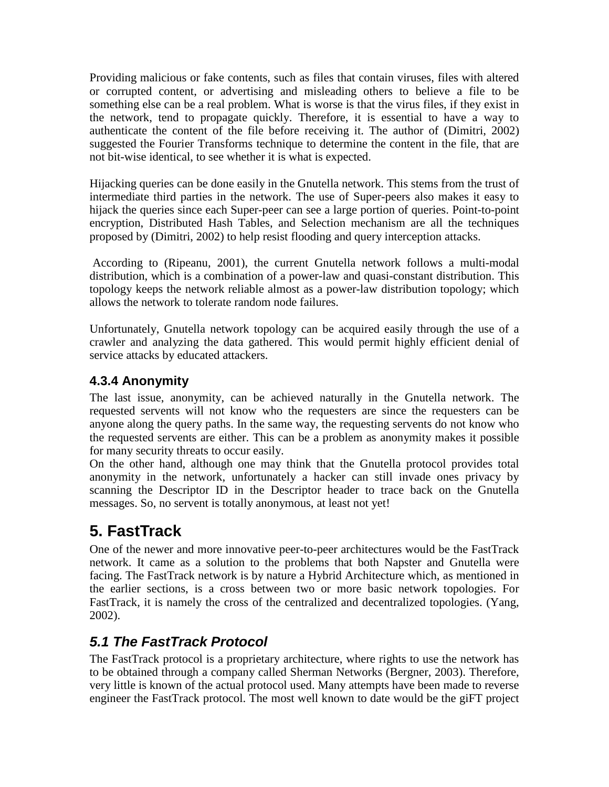Providing malicious or fake contents, such as files that contain viruses, files with altered or corrupted content, or advertising and misleading others to believe a file to be something else can be a real problem. What is worse is that the virus files, if they exist in the network, tend to propagate quickly. Therefore, it is essential to have a way to authenticate the content of the file before receiving it. The author of (Dimitri, 2002) suggested the Fourier Transforms technique to determine the content in the file, that are not bit-wise identical, to see whether it is what is expected.

Hijacking queries can be done easily in the Gnutella network. This stems from the trust of intermediate third parties in the network. The use of Super-peers also makes it easy to hijack the queries since each Super-peer can see a large portion of queries. Point-to-point encryption, Distributed Hash Tables, and Selection mechanism are all the techniques proposed by (Dimitri, 2002) to help resist flooding and query interception attacks.

According to (Ripeanu, 2001), the current Gnutella network follows a multi-modal distribution, which is a combination of a power-law and quasi-constant distribution. This topology keeps the network reliable almost as a power-law distribution topology; which allows the network to tolerate random node failures.

Unfortunately, Gnutella network topology can be acquired easily through the use of a crawler and analyzing the data gathered. This would permit highly efficient denial of service attacks by educated attackers.

## **4.3.4 Anonymity**

The last issue, anonymity, can be achieved naturally in the Gnutella network. The requested servents will not know who the requesters are since the requesters can be anyone along the query paths. In the same way, the requesting servents do not know who the requested servents are either. This can be a problem as anonymity makes it possible for many security threats to occur easily.

On the other hand, although one may think that the Gnutella protocol provides total anonymity in the network, unfortunately a hacker can still invade ones privacy by scanning the Descriptor ID in the Descriptor header to trace back on the Gnutella messages. So, no servent is totally anonymous, at least not yet!

## **5. FastTrack**

One of the newer and more innovative peer-to-peer architectures would be the FastTrack network. It came as a solution to the problems that both Napster and Gnutella were facing. The FastTrack network is by nature a Hybrid Architecture which, as mentioned in the earlier sections, is a cross between two or more basic network topologies. For FastTrack, it is namely the cross of the centralized and decentralized topologies. (Yang, 2002).

## **5.1 The FastTrack Protocol**

The FastTrack protocol is a proprietary architecture, where rights to use the network has to be obtained through a company called Sherman Networks (Bergner, 2003). Therefore, very little is known of the actual protocol used. Many attempts have been made to reverse engineer the FastTrack protocol. The most well known to date would be the giFT project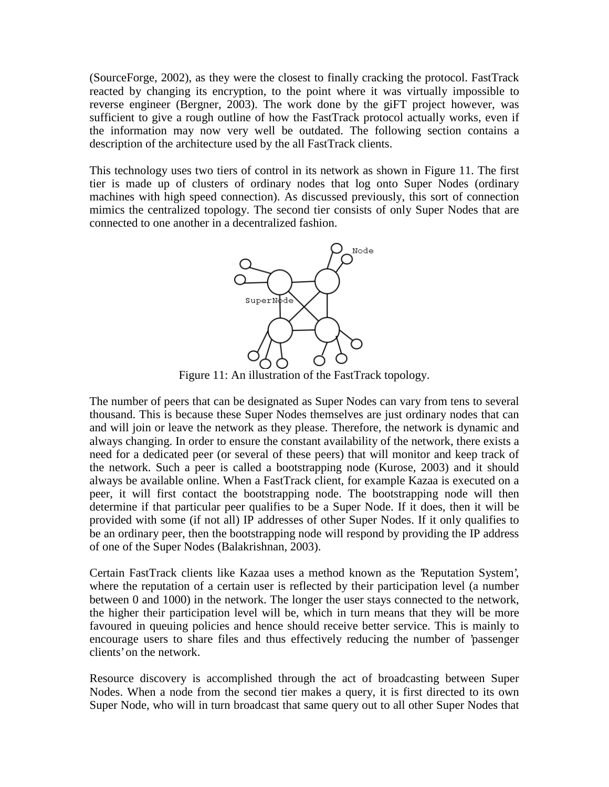(SourceForge, 2002), as they were the closest to finally cracking the protocol. FastTrack reacted by changing its encryption, to the point where it was virtually impossible to reverse engineer (Bergner, 2003). The work done by the giFT project however, was sufficient to give a rough outline of how the FastTrack protocol actually works, even if the information may now very well be outdated. The following section contains a description of the architecture used by the all FastTrack clients.

This technology uses two tiers of control in its network as shown in Figure 11. The first tier is made up of clusters of ordinary nodes that log onto Super Nodes (ordinary machines with high speed connection). As discussed previously, this sort of connection mimics the centralized topology. The second tier consists of only Super Nodes that are connected to one another in a decentralized fashion.



Figure 11: An illustration of the FastTrack topology.

The number of peers that can be designated as Super Nodes can vary from tens to several thousand. This is because these Super Nodes themselves are just ordinary nodes that can and will join or leave the network as they please. Therefore, the network is dynamic and always changing. In order to ensure the constant availability of the network, there exists a need for a dedicated peer (or several of these peers) that will monitor and keep track of the network. Such a peer is called a bootstrapping node (Kurose, 2003) and it should always be available online. When a FastTrack client, for example Kazaa is executed on a peer, it will first contact the bootstrapping node. The bootstrapping node will then determine if that particular peer qualifies to be a Super Node. If it does, then it will be provided with some (if not all) IP addresses of other Super Nodes. If it only qualifies to be an ordinary peer, then the bootstrapping node will respond by providing the IP address of one of the Super Nodes (Balakrishnan, 2003).

Certain FastTrack clients like Kazaa uses a method known as the 'Reputation System', where the reputation of a certain user is reflected by their participation level (a number between 0 and 1000) in the network. The longer the user stays connected to the network, the higher their participation level will be, which in turn means that they will be more favoured in queuing policies and hence should receive better service. This is mainly to encourage users to share files and thus effectively reducing the number of 'passenger clients'on the network.

Resource discovery is accomplished through the act of broadcasting between Super Nodes. When a node from the second tier makes a query, it is first directed to its own Super Node, who will in turn broadcast that same query out to all other Super Nodes that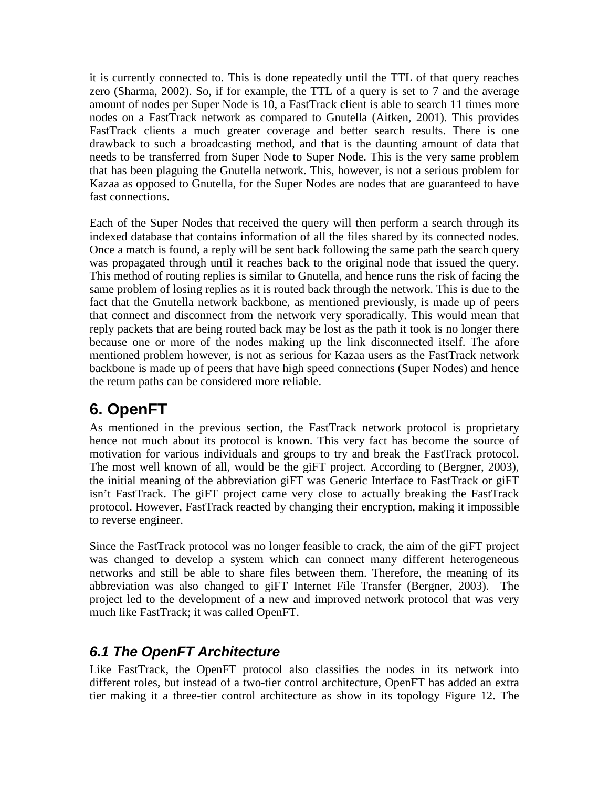it is currently connected to. This is done repeatedly until the TTL of that query reaches zero (Sharma, 2002). So, if for example, the TTL of a query is set to 7 and the average amount of nodes per Super Node is 10, a FastTrack client is able to search 11 times more nodes on a FastTrack network as compared to Gnutella (Aitken, 2001). This provides FastTrack clients a much greater coverage and better search results. There is one drawback to such a broadcasting method, and that is the daunting amount of data that needs to be transferred from Super Node to Super Node. This is the very same problem that has been plaguing the Gnutella network. This, however, is not a serious problem for Kazaa as opposed to Gnutella, for the Super Nodes are nodes that are guaranteed to have fast connections.

Each of the Super Nodes that received the query will then perform a search through its indexed database that contains information of all the files shared by its connected nodes. Once a match is found, a reply will be sent back following the same path the search query was propagated through until it reaches back to the original node that issued the query. This method of routing replies is similar to Gnutella, and hence runs the risk of facing the same problem of losing replies as it is routed back through the network. This is due to the fact that the Gnutella network backbone, as mentioned previously, is made up of peers that connect and disconnect from the network very sporadically. This would mean that reply packets that are being routed back may be lost as the path it took is no longer there because one or more of the nodes making up the link disconnected itself. The afore mentioned problem however, is not as serious for Kazaa users as the FastTrack network backbone is made up of peers that have high speed connections (Super Nodes) and hence the return paths can be considered more reliable.

## **6. OpenFT**

As mentioned in the previous section, the FastTrack network protocol is proprietary hence not much about its protocol is known. This very fact has become the source of motivation for various individuals and groups to try and break the FastTrack protocol. The most well known of all, would be the giFT project. According to (Bergner, 2003), the initial meaning of the abbreviation giFT was Generic Interface to FastTrack or giFT isn't FastTrack. The giFT project came very close to actually breaking the FastTrack protocol. However, FastTrack reacted by changing their encryption, making it impossible to reverse engineer.

Since the FastTrack protocol was no longer feasible to crack, the aim of the giFT project was changed to develop a system which can connect many different heterogeneous networks and still be able to share files between them. Therefore, the meaning of its abbreviation was also changed to giFT Internet File Transfer (Bergner, 2003). The project led to the development of a new and improved network protocol that was very much like FastTrack; it was called OpenFT.

## **6.1 The OpenFT Architecture**

Like FastTrack, the OpenFT protocol also classifies the nodes in its network into different roles, but instead of a two-tier control architecture, OpenFT has added an extra tier making it a three-tier control architecture as show in its topology Figure 12. The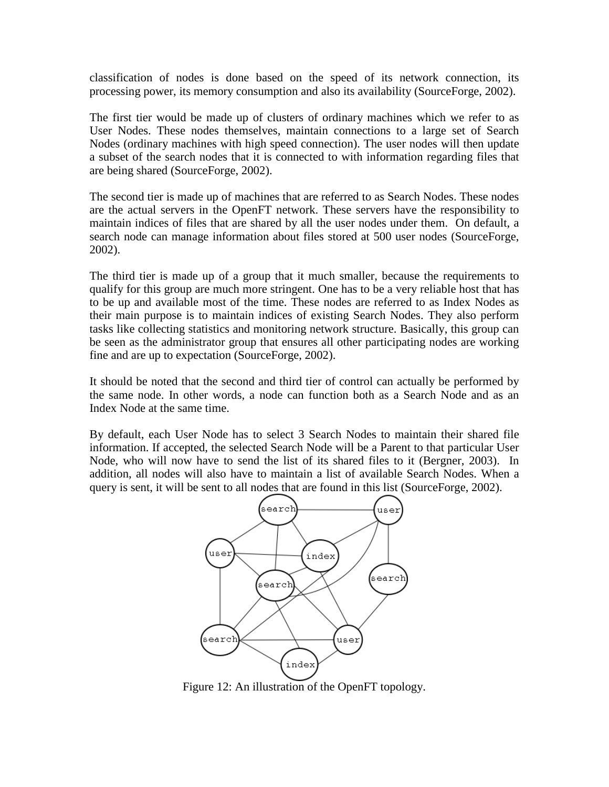classification of nodes is done based on the speed of its network connection, its processing power, its memory consumption and also its availability (SourceForge, 2002).

The first tier would be made up of clusters of ordinary machines which we refer to as User Nodes. These nodes themselves, maintain connections to a large set of Search Nodes (ordinary machines with high speed connection). The user nodes will then update a subset of the search nodes that it is connected to with information regarding files that are being shared (SourceForge, 2002).

The second tier is made up of machines that are referred to as Search Nodes. These nodes are the actual servers in the OpenFT network. These servers have the responsibility to maintain indices of files that are shared by all the user nodes under them. On default, a search node can manage information about files stored at 500 user nodes (SourceForge, 2002).

The third tier is made up of a group that it much smaller, because the requirements to qualify for this group are much more stringent. One has to be a very reliable host that has to be up and available most of the time. These nodes are referred to as Index Nodes as their main purpose is to maintain indices of existing Search Nodes. They also perform tasks like collecting statistics and monitoring network structure. Basically, this group can be seen as the administrator group that ensures all other participating nodes are working fine and are up to expectation (SourceForge, 2002).

It should be noted that the second and third tier of control can actually be performed by the same node. In other words, a node can function both as a Search Node and as an Index Node at the same time.

By default, each User Node has to select 3 Search Nodes to maintain their shared file information. If accepted, the selected Search Node will be a Parent to that particular User Node, who will now have to send the list of its shared files to it (Bergner, 2003). In addition, all nodes will also have to maintain a list of available Search Nodes. When a query is sent, it will be sent to all nodes that are found in this list (SourceForge, 2002).



Figure 12: An illustration of the OpenFT topology.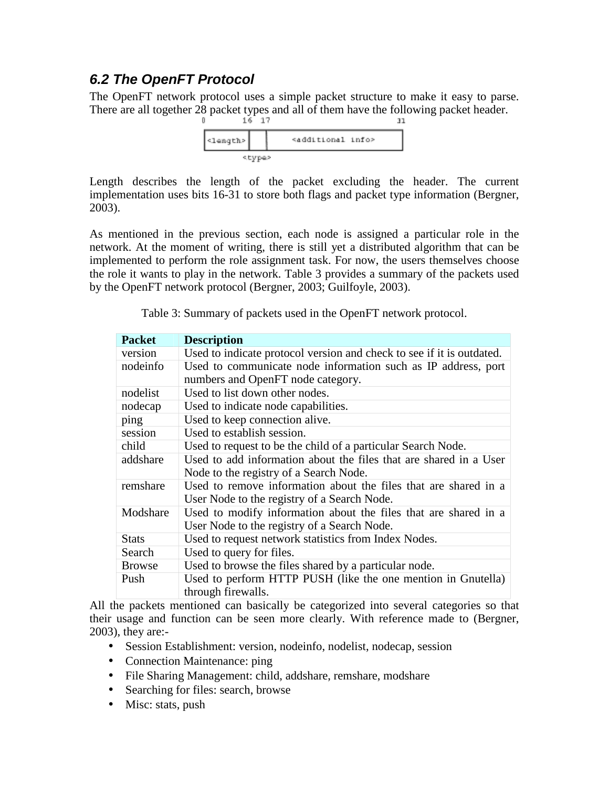## **6.2 The OpenFT Protocol**

The OpenFT network protocol uses a simple packet structure to make it easy to parse. There are all together 28 packet types and all of them have the following packet header.<br> $\frac{16}{15}$ 



Length describes the length of the packet excluding the header. The current implementation uses bits 16-31 to store both flags and packet type information (Bergner, 2003).

As mentioned in the previous section, each node is assigned a particular role in the network. At the moment of writing, there is still yet a distributed algorithm that can be implemented to perform the role assignment task. For now, the users themselves choose the role it wants to play in the network. Table 3 provides a summary of the packets used by the OpenFT network protocol (Bergner, 2003; Guilfoyle, 2003).

Table 3: Summary of packets used in the OpenFT network protocol.

| <b>Packet</b> | <b>Description</b>                                                    |
|---------------|-----------------------------------------------------------------------|
| version       | Used to indicate protocol version and check to see if it is outdated. |
| nodeinfo      | Used to communicate node information such as IP address, port         |
|               | numbers and OpenFT node category.                                     |
| nodelist      | Used to list down other nodes.                                        |
| nodecap       | Used to indicate node capabilities.                                   |
| ping          | Used to keep connection alive.                                        |
| session       | Used to establish session.                                            |
| child         | Used to request to be the child of a particular Search Node.          |
| addshare      | Used to add information about the files that are shared in a User     |
|               | Node to the registry of a Search Node.                                |
| remshare      | Used to remove information about the files that are shared in a       |
|               | User Node to the registry of a Search Node.                           |
| Modshare      | Used to modify information about the files that are shared in a       |
|               | User Node to the registry of a Search Node.                           |
| <b>Stats</b>  | Used to request network statistics from Index Nodes.                  |
| Search        | Used to query for files.                                              |
| <b>Browse</b> | Used to browse the files shared by a particular node.                 |
| Push          | Used to perform HTTP PUSH (like the one mention in Gnutella)          |
|               | through firewalls.                                                    |

All the packets mentioned can basically be categorized into several categories so that their usage and function can be seen more clearly. With reference made to (Bergner, 2003), they are:-

- Session Establishment: version, nodeinfo, nodelist, nodecap, session
- Connection Maintenance: ping
- File Sharing Management: child, addshare, remshare, modshare
- Searching for files: search, browse
- Misc: stats, push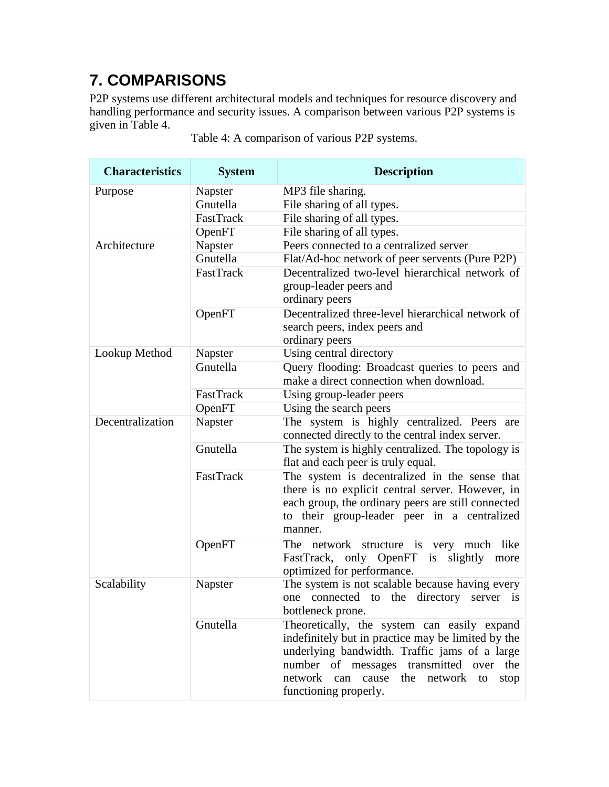# **7. COMPARISONS**

P2P systems use different architectural models and techniques for resource discovery and handling performance and security issues. A comparison between various P2P systems is given in Table 4.

| <b>Characteristics</b> | <b>System</b> | <b>Description</b>                                                                             |  |
|------------------------|---------------|------------------------------------------------------------------------------------------------|--|
| Purpose                | Napster       | MP3 file sharing.                                                                              |  |
|                        | Gnutella      | File sharing of all types.                                                                     |  |
|                        | FastTrack     | File sharing of all types.                                                                     |  |
|                        | OpenFT        | File sharing of all types.                                                                     |  |
| Architecture           | Napster       | Peers connected to a centralized server                                                        |  |
|                        | Gnutella      | Flat/Ad-hoc network of peer servents (Pure P2P)                                                |  |
|                        | FastTrack     | Decentralized two-level hierarchical network of                                                |  |
|                        |               | group-leader peers and                                                                         |  |
|                        |               | ordinary peers                                                                                 |  |
|                        | OpenFT        | Decentralized three-level hierarchical network of                                              |  |
|                        |               | search peers, index peers and                                                                  |  |
|                        |               | ordinary peers                                                                                 |  |
| Lookup Method          | Napster       | Using central directory                                                                        |  |
|                        | Gnutella      | Query flooding: Broadcast queries to peers and                                                 |  |
|                        |               | make a direct connection when download.                                                        |  |
|                        | FastTrack     | Using group-leader peers                                                                       |  |
|                        | OpenFT        | Using the search peers                                                                         |  |
| Decentralization       | Napster       | The system is highly centralized. Peers are<br>connected directly to the central index server. |  |
|                        | Gnutella      | The system is highly centralized. The topology is                                              |  |
|                        |               | flat and each peer is truly equal.                                                             |  |
|                        | FastTrack     | The system is decentralized in the sense that                                                  |  |
|                        |               | there is no explicit central server. However, in                                               |  |
|                        |               | each group, the ordinary peers are still connected                                             |  |
|                        |               | to their group-leader peer in a centralized<br>manner.                                         |  |
|                        | OpenFT        | The network structure is very much like                                                        |  |
|                        |               | FastTrack, only OpenFT is<br>slightly<br>more<br>optimized for performance.                    |  |
| Scalability            | Napster       | The system is not scalable because having every                                                |  |
|                        |               | one connected to the directory server is                                                       |  |
|                        |               | bottleneck prone.                                                                              |  |
|                        | Gnutella      | Theoretically, the system can easily expand                                                    |  |
|                        |               | indefinitely but in practice may be limited by the                                             |  |
|                        |               | underlying bandwidth. Traffic jams of a large                                                  |  |
|                        |               | number of messages transmitted<br>over the                                                     |  |
|                        |               | network can cause the network to<br>stop                                                       |  |
|                        |               | functioning properly.                                                                          |  |

Table 4: A comparison of various P2P systems.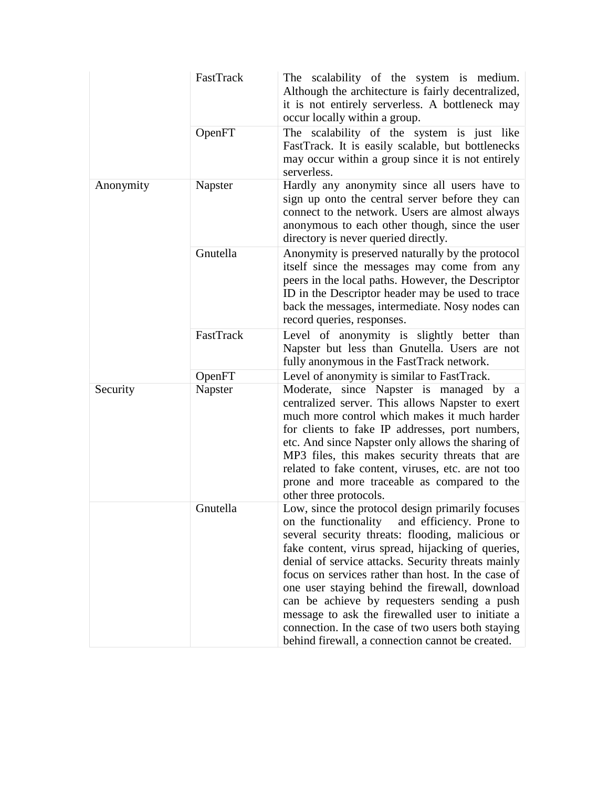|           | FastTrack           | The scalability of the system is medium.<br>Although the architecture is fairly decentralized,<br>it is not entirely serverless. A bottleneck may<br>occur locally within a group.                                                                                                                                                                                                                                                                                                                                                                                                                                                                                                                                                                                                                                                                                                                                                                                                                                            |  |
|-----------|---------------------|-------------------------------------------------------------------------------------------------------------------------------------------------------------------------------------------------------------------------------------------------------------------------------------------------------------------------------------------------------------------------------------------------------------------------------------------------------------------------------------------------------------------------------------------------------------------------------------------------------------------------------------------------------------------------------------------------------------------------------------------------------------------------------------------------------------------------------------------------------------------------------------------------------------------------------------------------------------------------------------------------------------------------------|--|
|           | OpenFT              | The scalability of the system is just like<br>FastTrack. It is easily scalable, but bottlenecks<br>may occur within a group since it is not entirely<br>serverless.                                                                                                                                                                                                                                                                                                                                                                                                                                                                                                                                                                                                                                                                                                                                                                                                                                                           |  |
| Anonymity | Napster             | Hardly any anonymity since all users have to<br>sign up onto the central server before they can<br>connect to the network. Users are almost always<br>anonymous to each other though, since the user<br>directory is never queried directly.                                                                                                                                                                                                                                                                                                                                                                                                                                                                                                                                                                                                                                                                                                                                                                                  |  |
|           | Gnutella            | Anonymity is preserved naturally by the protocol<br>itself since the messages may come from any<br>peers in the local paths. However, the Descriptor<br>ID in the Descriptor header may be used to trace<br>back the messages, intermediate. Nosy nodes can<br>record queries, responses.                                                                                                                                                                                                                                                                                                                                                                                                                                                                                                                                                                                                                                                                                                                                     |  |
|           | FastTrack           | Level of anonymity is slightly better than<br>Napster but less than Gnutella. Users are not<br>fully anonymous in the FastTrack network.                                                                                                                                                                                                                                                                                                                                                                                                                                                                                                                                                                                                                                                                                                                                                                                                                                                                                      |  |
|           | OpenFT              | Level of anonymity is similar to FastTrack.                                                                                                                                                                                                                                                                                                                                                                                                                                                                                                                                                                                                                                                                                                                                                                                                                                                                                                                                                                                   |  |
| Security  | Napster<br>Gnutella | Moderate, since Napster is managed by a<br>centralized server. This allows Napster to exert<br>much more control which makes it much harder<br>for clients to fake IP addresses, port numbers,<br>etc. And since Napster only allows the sharing of<br>MP3 files, this makes security threats that are<br>related to fake content, viruses, etc. are not too<br>prone and more traceable as compared to the<br>other three protocols.<br>Low, since the protocol design primarily focuses<br>on the functionality and efficiency. Prone to<br>several security threats: flooding, malicious or<br>fake content, virus spread, hijacking of queries,<br>denial of service attacks. Security threats mainly<br>focus on services rather than host. In the case of<br>one user staying behind the firewall, download<br>can be achieve by requesters sending a push<br>message to ask the firewalled user to initiate a<br>connection. In the case of two users both staying<br>behind firewall, a connection cannot be created. |  |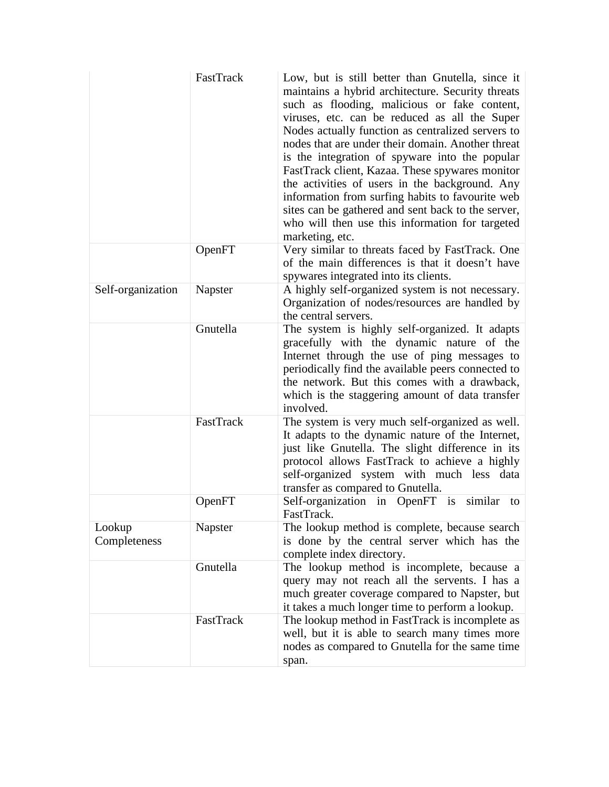|                        | FastTrack | Low, but is still better than Gnutella, since it<br>maintains a hybrid architecture. Security threats<br>such as flooding, malicious or fake content,<br>viruses, etc. can be reduced as all the Super<br>Nodes actually function as centralized servers to<br>nodes that are under their domain. Another threat<br>is the integration of spyware into the popular<br>FastTrack client, Kazaa. These spywares monitor<br>the activities of users in the background. Any<br>information from surfing habits to favourite web<br>sites can be gathered and sent back to the server,<br>who will then use this information for targeted<br>marketing, etc. |
|------------------------|-----------|---------------------------------------------------------------------------------------------------------------------------------------------------------------------------------------------------------------------------------------------------------------------------------------------------------------------------------------------------------------------------------------------------------------------------------------------------------------------------------------------------------------------------------------------------------------------------------------------------------------------------------------------------------|
|                        | OpenFT    | Very similar to threats faced by FastTrack. One<br>of the main differences is that it doesn't have<br>spywares integrated into its clients.                                                                                                                                                                                                                                                                                                                                                                                                                                                                                                             |
| Self-organization      | Napster   | A highly self-organized system is not necessary.<br>Organization of nodes/resources are handled by<br>the central servers.                                                                                                                                                                                                                                                                                                                                                                                                                                                                                                                              |
|                        | Gnutella  | The system is highly self-organized. It adapts<br>gracefully with the dynamic nature of the<br>Internet through the use of ping messages to<br>periodically find the available peers connected to<br>the network. But this comes with a drawback,<br>which is the staggering amount of data transfer<br>involved.                                                                                                                                                                                                                                                                                                                                       |
|                        | FastTrack | The system is very much self-organized as well.<br>It adapts to the dynamic nature of the Internet,<br>just like Gnutella. The slight difference in its<br>protocol allows FastTrack to achieve a highly<br>self-organized system with much less data<br>transfer as compared to Gnutella.                                                                                                                                                                                                                                                                                                                                                              |
|                        | OpenFT    | Self-organization in OpenFT is similar to<br>FastTrack.                                                                                                                                                                                                                                                                                                                                                                                                                                                                                                                                                                                                 |
| Lookup<br>Completeness | Napster   | The lookup method is complete, because search<br>is done by the central server which has the<br>complete index directory.                                                                                                                                                                                                                                                                                                                                                                                                                                                                                                                               |
|                        | Gnutella  | The lookup method is incomplete, because a<br>query may not reach all the servents. I has a<br>much greater coverage compared to Napster, but<br>it takes a much longer time to perform a lookup.                                                                                                                                                                                                                                                                                                                                                                                                                                                       |
|                        | FastTrack | The lookup method in FastTrack is incomplete as<br>well, but it is able to search many times more<br>nodes as compared to Gnutella for the same time<br>span.                                                                                                                                                                                                                                                                                                                                                                                                                                                                                           |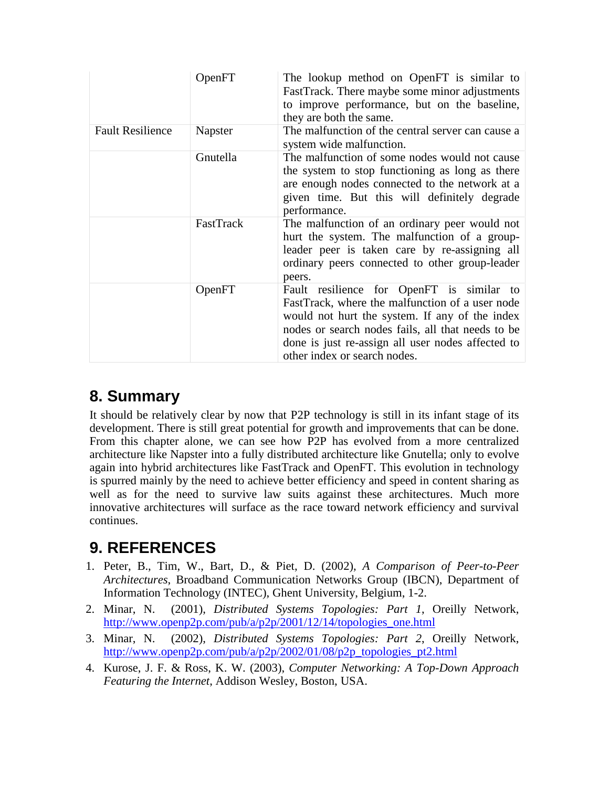|                         | OpenFT    | The lookup method on OpenFT is similar to<br>FastTrack. There maybe some minor adjustments<br>to improve performance, but on the baseline,<br>they are both the same.                                                                                                                    |
|-------------------------|-----------|------------------------------------------------------------------------------------------------------------------------------------------------------------------------------------------------------------------------------------------------------------------------------------------|
| <b>Fault Resilience</b> | Napster   | The malfunction of the central server can cause a<br>system wide malfunction.                                                                                                                                                                                                            |
|                         | Gnutella  | The malfunction of some nodes would not cause<br>the system to stop functioning as long as there<br>are enough nodes connected to the network at a<br>given time. But this will definitely degrade<br>performance.                                                                       |
|                         | FastTrack | The malfunction of an ordinary peer would not<br>hurt the system. The malfunction of a group-<br>leader peer is taken care by re-assigning all<br>ordinary peers connected to other group-leader<br>peers.                                                                               |
|                         | OpenFT    | Fault resilience for OpenFT is similar to<br>FastTrack, where the malfunction of a user node<br>would not hurt the system. If any of the index<br>nodes or search nodes fails, all that needs to be<br>done is just re-assign all user nodes affected to<br>other index or search nodes. |

## **8. Summary**

It should be relatively clear by now that P2P technology is still in its infant stage of its development. There is still great potential for growth and improvements that can be done. From this chapter alone, we can see how P2P has evolved from a more centralized architecture like Napster into a fully distributed architecture like Gnutella; only to evolve again into hybrid architectures like FastTrack and OpenFT. This evolution in technology is spurred mainly by the need to achieve better efficiency and speed in content sharing as well as for the need to survive law suits against these architectures. Much more innovative architectures will surface as the race toward network efficiency and survival continues.

## **9. REFERENCES**

- 1. Peter, B., Tim, W., Bart, D., & Piet, D. (2002), *A Comparison of Peer-to-Peer Architectures*, Broadband Communication Networks Group (IBCN), Department of Information Technology (INTEC), Ghent University, Belgium, 1-2.
- 2. Minar, N. (2001), *Distributed Systems Topologies: Part 1*, Oreilly Network, http://www.openp2p.com/pub/a/p2p/2001/12/14/topologies\_one.html
- 3. Minar, N. (2002), *Distributed Systems Topologies: Part 2*, Oreilly Network, http://www.openp2p.com/pub/a/p2p/2002/01/08/p2p\_topologies\_pt2.html
- 4. Kurose, J. F. & Ross, K. W. (2003), *Computer Networking: A Top-Down Approach Featuring the Internet*, Addison Wesley, Boston, USA.